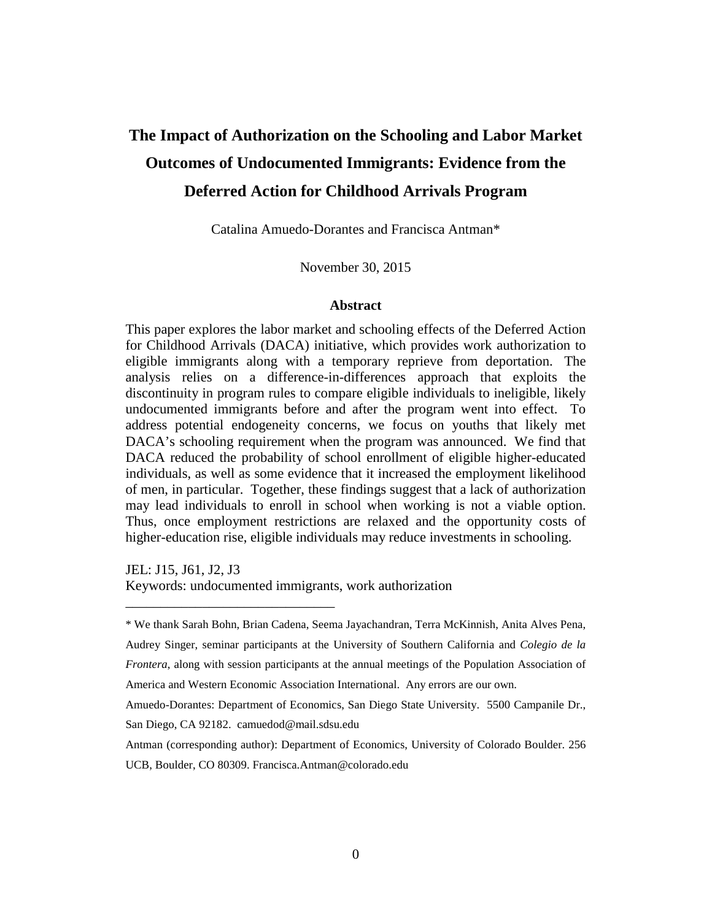# **The Impact of Authorization on the Schooling and Labor Market Outcomes of Undocumented Immigrants: Evidence from the Deferred Action for Childhood Arrivals Program**

Catalina Amuedo-Dorantes and Francisca Antman\*

November 30, 2015

#### **Abstract**

This paper explores the labor market and schooling effects of the Deferred Action for Childhood Arrivals (DACA) initiative, which provides work authorization to eligible immigrants along with a temporary reprieve from deportation. The analysis relies on a difference-in-differences approach that exploits the discontinuity in program rules to compare eligible individuals to ineligible, likely undocumented immigrants before and after the program went into effect. To address potential endogeneity concerns, we focus on youths that likely met DACA's schooling requirement when the program was announced. We find that DACA reduced the probability of school enrollment of eligible higher-educated individuals, as well as some evidence that it increased the employment likelihood of men, in particular. Together, these findings suggest that a lack of authorization may lead individuals to enroll in school when working is not a viable option. Thus, once employment restrictions are relaxed and the opportunity costs of higher-education rise, eligible individuals may reduce investments in schooling.

JEL: J15, J61, J2, J3 Keywords: undocumented immigrants, work authorization

San Diego, CA 92182. camuedod@mail.sdsu.edu

\_\_\_\_\_\_\_\_\_\_\_\_\_\_\_\_\_\_\_\_\_\_\_\_\_\_\_\_\_\_

<sup>\*</sup> We thank Sarah Bohn, Brian Cadena, Seema Jayachandran, Terra McKinnish, Anita Alves Pena, Audrey Singer, seminar participants at the University of Southern California and *Colegio de la Frontera*, along with session participants at the annual meetings of the Population Association of America and Western Economic Association International. Any errors are our own. Amuedo-Dorantes: Department of Economics, San Diego State University. 5500 Campanile Dr.,

Antman (corresponding author): Department of Economics, University of Colorado Boulder. 256 UCB, Boulder, CO 80309. Francisca.Antman@colorado.edu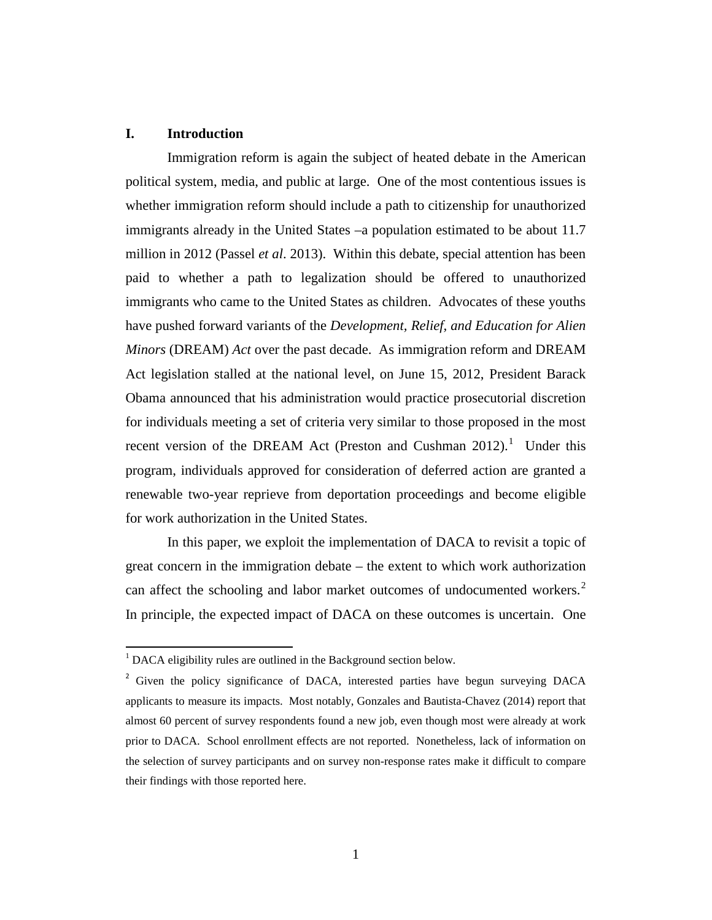# **I. Introduction**

Immigration reform is again the subject of heated debate in the American political system, media, and public at large. One of the most contentious issues is whether immigration reform should include a path to citizenship for unauthorized immigrants already in the United States –a population estimated to be about 11.7 million in 2012 (Passel *et al*. 2013). Within this debate, special attention has been paid to whether a path to legalization should be offered to unauthorized immigrants who came to the United States as children. Advocates of these youths have pushed forward variants of the *Development, Relief, and Education for Alien Minors* (DREAM) *Act* over the past decade. As immigration reform and DREAM Act legislation stalled at the national level, on June 15, 2012, President Barack Obama announced that his administration would practice prosecutorial discretion for individuals meeting a set of criteria very similar to those proposed in the most recent version of the DREAM Act (Preston and Cushman  $2012$  $2012$  $2012$ ).<sup>1</sup> Under this program, individuals approved for consideration of deferred action are granted a renewable two-year reprieve from deportation proceedings and become eligible for work authorization in the United States.

In this paper, we exploit the implementation of DACA to revisit a topic of great concern in the immigration debate – the extent to which work authorization can affect the schooling and labor market outcomes of undocumented workers.<sup>[2](#page-1-1)</sup> In principle, the expected impact of DACA on these outcomes is uncertain. One

<span id="page-1-0"></span><sup>&</sup>lt;sup>1</sup> DACA eligibility rules are outlined in the Background section below.

<span id="page-1-1"></span><sup>&</sup>lt;sup>2</sup> Given the policy significance of DACA, interested parties have begun surveying DACA applicants to measure its impacts. Most notably, Gonzales and Bautista-Chavez (2014) report that almost 60 percent of survey respondents found a new job, even though most were already at work prior to DACA. School enrollment effects are not reported. Nonetheless, lack of information on the selection of survey participants and on survey non-response rates make it difficult to compare their findings with those reported here.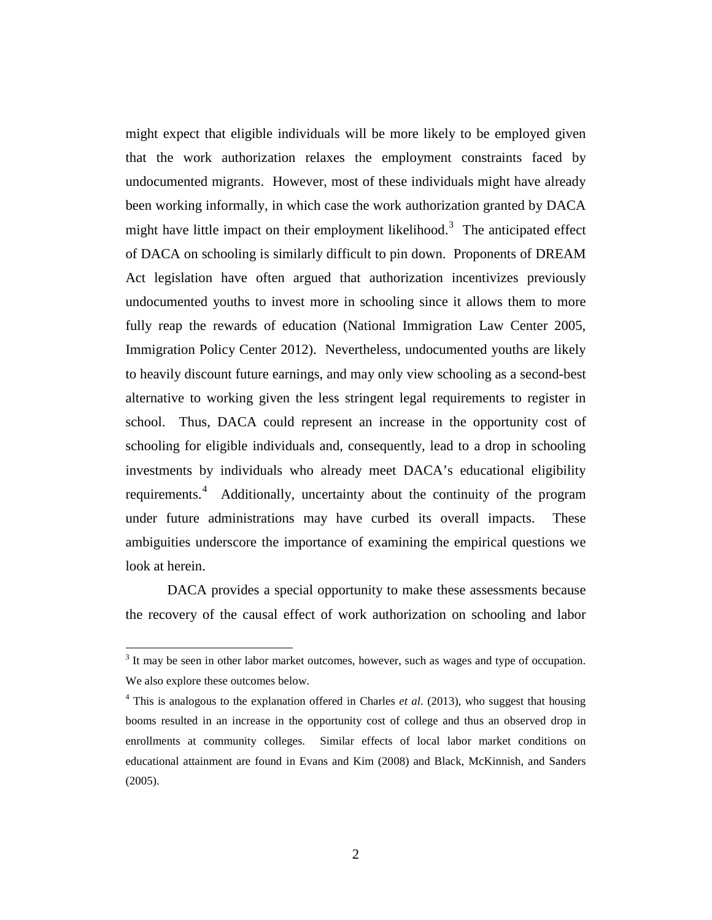might expect that eligible individuals will be more likely to be employed given that the work authorization relaxes the employment constraints faced by undocumented migrants. However, most of these individuals might have already been working informally, in which case the work authorization granted by DACA might have little impact on their employment likelihood.<sup>[3](#page-2-0)</sup> The anticipated effect of DACA on schooling is similarly difficult to pin down. Proponents of DREAM Act legislation have often argued that authorization incentivizes previously undocumented youths to invest more in schooling since it allows them to more fully reap the rewards of education (National Immigration Law Center 2005, Immigration Policy Center 2012). Nevertheless, undocumented youths are likely to heavily discount future earnings, and may only view schooling as a second-best alternative to working given the less stringent legal requirements to register in school. Thus, DACA could represent an increase in the opportunity cost of schooling for eligible individuals and, consequently, lead to a drop in schooling investments by individuals who already meet DACA's educational eligibility requirements.<sup>[4](#page-2-1)</sup> Additionally, uncertainty about the continuity of the program under future administrations may have curbed its overall impacts. These ambiguities underscore the importance of examining the empirical questions we look at herein.

DACA provides a special opportunity to make these assessments because the recovery of the causal effect of work authorization on schooling and labor

<span id="page-2-0"></span> $3$  It may be seen in other labor market outcomes, however, such as wages and type of occupation. We also explore these outcomes below.

<span id="page-2-1"></span><sup>4</sup> This is analogous to the explanation offered in Charles *et al*. (2013), who suggest that housing booms resulted in an increase in the opportunity cost of college and thus an observed drop in enrollments at community colleges. Similar effects of local labor market conditions on educational attainment are found in Evans and Kim (2008) and Black, McKinnish, and Sanders (2005).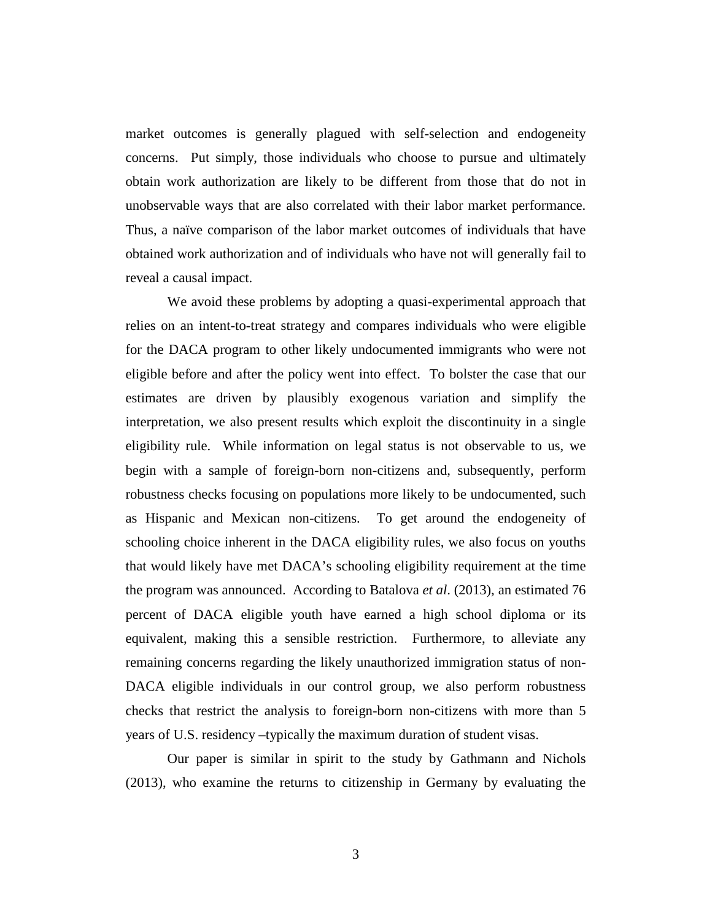market outcomes is generally plagued with self-selection and endogeneity concerns. Put simply, those individuals who choose to pursue and ultimately obtain work authorization are likely to be different from those that do not in unobservable ways that are also correlated with their labor market performance. Thus, a naïve comparison of the labor market outcomes of individuals that have obtained work authorization and of individuals who have not will generally fail to reveal a causal impact.

We avoid these problems by adopting a quasi-experimental approach that relies on an intent-to-treat strategy and compares individuals who were eligible for the DACA program to other likely undocumented immigrants who were not eligible before and after the policy went into effect. To bolster the case that our estimates are driven by plausibly exogenous variation and simplify the interpretation, we also present results which exploit the discontinuity in a single eligibility rule. While information on legal status is not observable to us, we begin with a sample of foreign-born non-citizens and, subsequently, perform robustness checks focusing on populations more likely to be undocumented, such as Hispanic and Mexican non-citizens. To get around the endogeneity of schooling choice inherent in the DACA eligibility rules, we also focus on youths that would likely have met DACA's schooling eligibility requirement at the time the program was announced. According to Batalova *et al*. (2013), an estimated 76 percent of DACA eligible youth have earned a high school diploma or its equivalent, making this a sensible restriction. Furthermore, to alleviate any remaining concerns regarding the likely unauthorized immigration status of non-DACA eligible individuals in our control group, we also perform robustness checks that restrict the analysis to foreign-born non-citizens with more than 5 years of U.S. residency –typically the maximum duration of student visas.

Our paper is similar in spirit to the study by Gathmann and Nichols (2013), who examine the returns to citizenship in Germany by evaluating the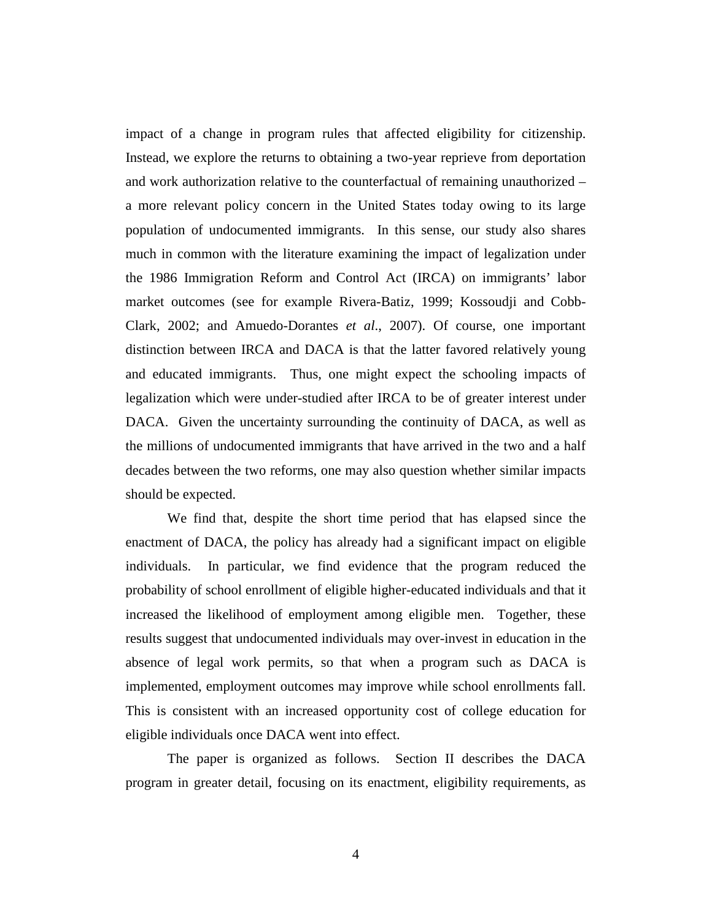impact of a change in program rules that affected eligibility for citizenship. Instead, we explore the returns to obtaining a two-year reprieve from deportation and work authorization relative to the counterfactual of remaining unauthorized – a more relevant policy concern in the United States today owing to its large population of undocumented immigrants. In this sense, our study also shares much in common with the literature examining the impact of legalization under the 1986 Immigration Reform and Control Act (IRCA) on immigrants' labor market outcomes (see for example Rivera-Batiz, 1999; Kossoudji and Cobb-Clark, 2002; and Amuedo-Dorantes *et al*., 2007). Of course, one important distinction between IRCA and DACA is that the latter favored relatively young and educated immigrants. Thus, one might expect the schooling impacts of legalization which were under-studied after IRCA to be of greater interest under DACA. Given the uncertainty surrounding the continuity of DACA, as well as the millions of undocumented immigrants that have arrived in the two and a half decades between the two reforms, one may also question whether similar impacts should be expected.

We find that, despite the short time period that has elapsed since the enactment of DACA, the policy has already had a significant impact on eligible individuals. In particular, we find evidence that the program reduced the probability of school enrollment of eligible higher-educated individuals and that it increased the likelihood of employment among eligible men. Together, these results suggest that undocumented individuals may over-invest in education in the absence of legal work permits, so that when a program such as DACA is implemented, employment outcomes may improve while school enrollments fall. This is consistent with an increased opportunity cost of college education for eligible individuals once DACA went into effect.

The paper is organized as follows. Section II describes the DACA program in greater detail, focusing on its enactment, eligibility requirements, as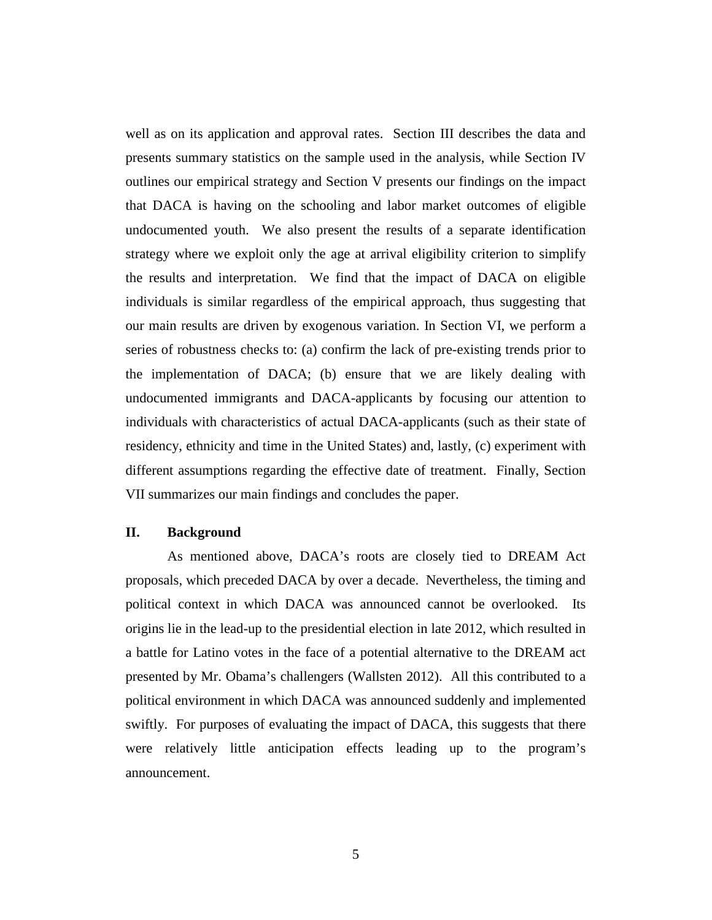well as on its application and approval rates. Section III describes the data and presents summary statistics on the sample used in the analysis, while Section IV outlines our empirical strategy and Section V presents our findings on the impact that DACA is having on the schooling and labor market outcomes of eligible undocumented youth. We also present the results of a separate identification strategy where we exploit only the age at arrival eligibility criterion to simplify the results and interpretation. We find that the impact of DACA on eligible individuals is similar regardless of the empirical approach, thus suggesting that our main results are driven by exogenous variation. In Section VI, we perform a series of robustness checks to: (a) confirm the lack of pre-existing trends prior to the implementation of DACA; (b) ensure that we are likely dealing with undocumented immigrants and DACA-applicants by focusing our attention to individuals with characteristics of actual DACA-applicants (such as their state of residency, ethnicity and time in the United States) and, lastly, (c) experiment with different assumptions regarding the effective date of treatment. Finally, Section VII summarizes our main findings and concludes the paper.

# **II. Background**

As mentioned above, DACA's roots are closely tied to DREAM Act proposals, which preceded DACA by over a decade. Nevertheless, the timing and political context in which DACA was announced cannot be overlooked. Its origins lie in the lead-up to the presidential election in late 2012, which resulted in a battle for Latino votes in the face of a potential alternative to the DREAM act presented by Mr. Obama's challengers (Wallsten 2012). All this contributed to a political environment in which DACA was announced suddenly and implemented swiftly. For purposes of evaluating the impact of DACA, this suggests that there were relatively little anticipation effects leading up to the program's announcement.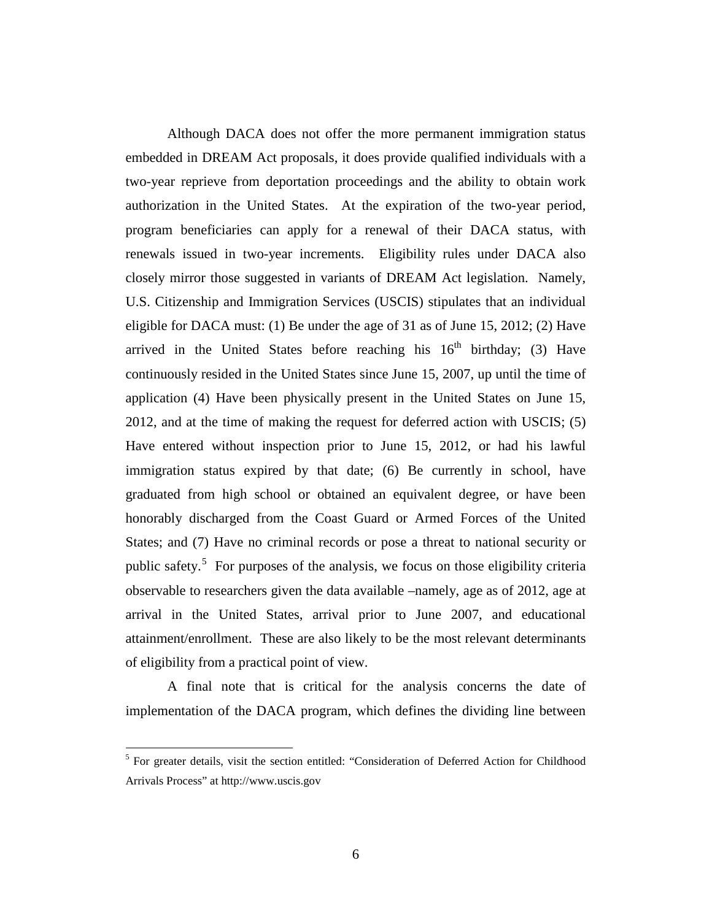Although DACA does not offer the more permanent immigration status embedded in DREAM Act proposals, it does provide qualified individuals with a two-year reprieve from deportation proceedings and the ability to obtain work authorization in the United States. At the expiration of the two-year period, program beneficiaries can apply for a renewal of their DACA status, with renewals issued in two-year increments. Eligibility rules under DACA also closely mirror those suggested in variants of DREAM Act legislation. Namely, U.S. Citizenship and Immigration Services (USCIS) stipulates that an individual eligible for DACA must: (1) Be under the age of 31 as of June 15, 2012; (2) Have arrived in the United States before reaching his  $16<sup>th</sup>$  birthday; (3) Have continuously resided in the United States since June 15, 2007, up until the time of application (4) Have been physically present in the United States on June 15, 2012, and at the time of making the request for deferred action with USCIS; (5) Have entered without inspection prior to June 15, 2012, or had his lawful immigration status expired by that date; (6) Be currently in school, have graduated from high school or obtained an equivalent degree, or have been honorably discharged from the Coast Guard or Armed Forces of the United States; and (7) Have no criminal records or pose a threat to national security or public safety.<sup>[5](#page-6-0)</sup> For purposes of the analysis, we focus on those eligibility criteria observable to researchers given the data available –namely, age as of 2012, age at arrival in the United States, arrival prior to June 2007, and educational attainment/enrollment. These are also likely to be the most relevant determinants of eligibility from a practical point of view.

A final note that is critical for the analysis concerns the date of implementation of the DACA program, which defines the dividing line between

<span id="page-6-0"></span><sup>5</sup> For greater details, visit the section entitled: "Consideration of Deferred Action for Childhood Arrivals Process" at [http://www.uscis.gov](http://www.uscis.gov/)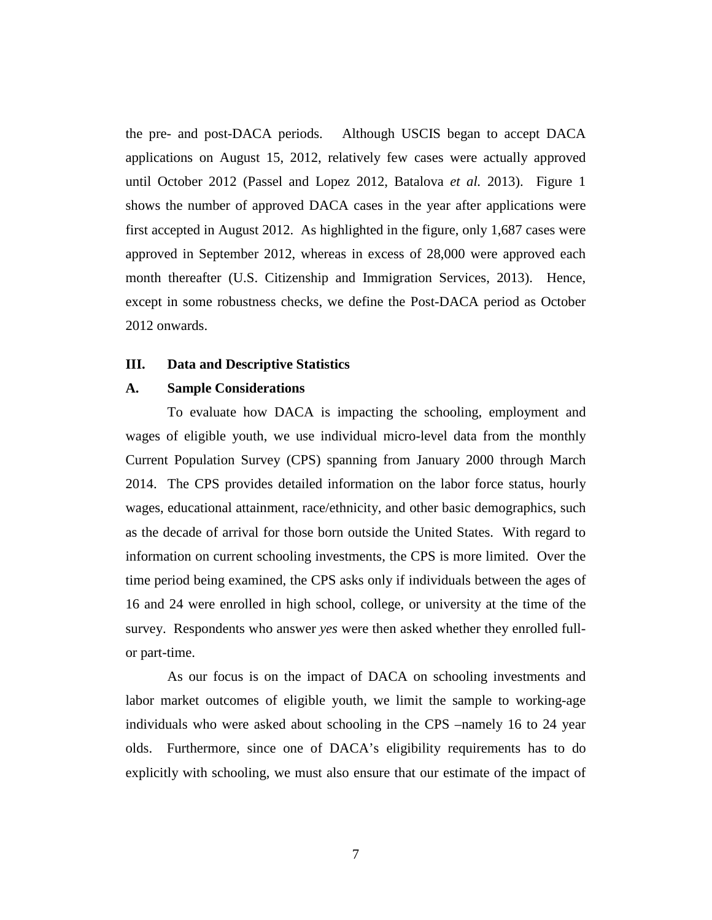the pre- and post-DACA periods. Although USCIS began to accept DACA applications on August 15, 2012, relatively few cases were actually approved until October 2012 (Passel and Lopez 2012, Batalova *et al.* 2013). Figure 1 shows the number of approved DACA cases in the year after applications were first accepted in August 2012. As highlighted in the figure, only 1,687 cases were approved in September 2012, whereas in excess of 28,000 were approved each month thereafter (U.S. Citizenship and Immigration Services, 2013). Hence, except in some robustness checks, we define the Post-DACA period as October 2012 onwards.

# **III. Data and Descriptive Statistics**

# **A. Sample Considerations**

To evaluate how DACA is impacting the schooling, employment and wages of eligible youth, we use individual micro-level data from the monthly Current Population Survey (CPS) spanning from January 2000 through March 2014. The CPS provides detailed information on the labor force status, hourly wages, educational attainment, race/ethnicity, and other basic demographics, such as the decade of arrival for those born outside the United States. With regard to information on current schooling investments, the CPS is more limited. Over the time period being examined, the CPS asks only if individuals between the ages of 16 and 24 were enrolled in high school, college, or university at the time of the survey. Respondents who answer *yes* were then asked whether they enrolled fullor part-time.

As our focus is on the impact of DACA on schooling investments and labor market outcomes of eligible youth, we limit the sample to working-age individuals who were asked about schooling in the CPS –namely 16 to 24 year olds. Furthermore, since one of DACA's eligibility requirements has to do explicitly with schooling, we must also ensure that our estimate of the impact of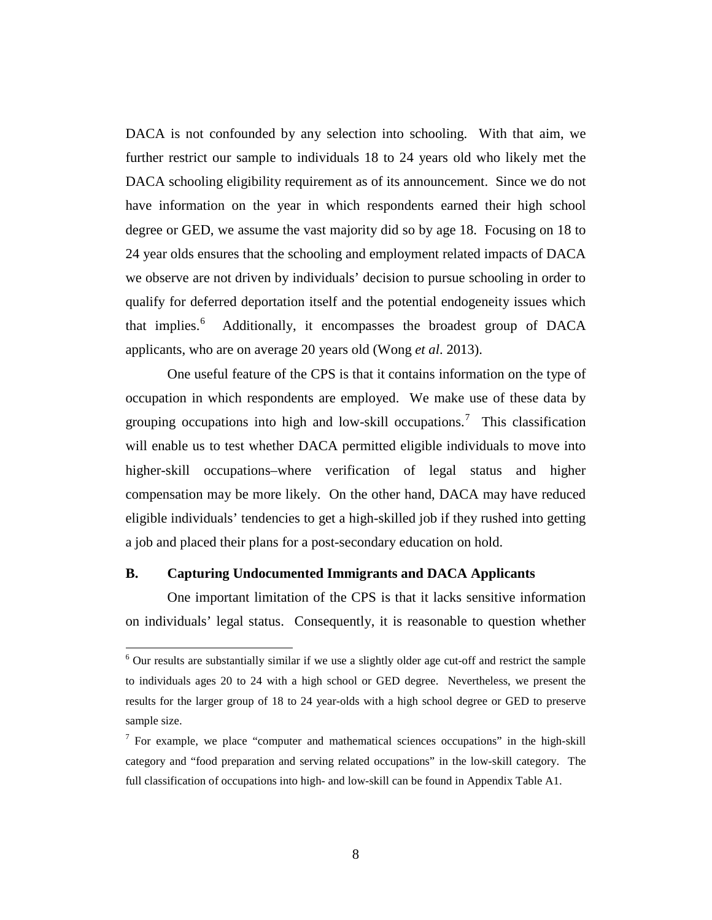DACA is not confounded by any selection into schooling. With that aim, we further restrict our sample to individuals 18 to 24 years old who likely met the DACA schooling eligibility requirement as of its announcement. Since we do not have information on the year in which respondents earned their high school degree or GED, we assume the vast majority did so by age 18. Focusing on 18 to 24 year olds ensures that the schooling and employment related impacts of DACA we observe are not driven by individuals' decision to pursue schooling in order to qualify for deferred deportation itself and the potential endogeneity issues which that implies.<sup>[6](#page-8-0)</sup> Additionally, it encompasses the broadest group of DACA applicants, who are on average 20 years old (Wong *et al*. 2013).

One useful feature of the CPS is that it contains information on the type of occupation in which respondents are employed. We make use of these data by grouping occupations into high and low-skill occupations.<sup>[7](#page-8-1)</sup> This classification will enable us to test whether DACA permitted eligible individuals to move into higher-skill occupations–where verification of legal status and higher compensation may be more likely. On the other hand, DACA may have reduced eligible individuals' tendencies to get a high-skilled job if they rushed into getting a job and placed their plans for a post-secondary education on hold.

# **B. Capturing Undocumented Immigrants and DACA Applicants**

One important limitation of the CPS is that it lacks sensitive information on individuals' legal status. Consequently, it is reasonable to question whether

<span id="page-8-0"></span><sup>6</sup> Our results are substantially similar if we use a slightly older age cut-off and restrict the sample to individuals ages 20 to 24 with a high school or GED degree. Nevertheless, we present the results for the larger group of 18 to 24 year-olds with a high school degree or GED to preserve sample size.

<span id="page-8-1"></span> $<sup>7</sup>$  For example, we place "computer and mathematical sciences occupations" in the high-skill</sup> category and "food preparation and serving related occupations" in the low-skill category. The full classification of occupations into high- and low-skill can be found in Appendix Table A1.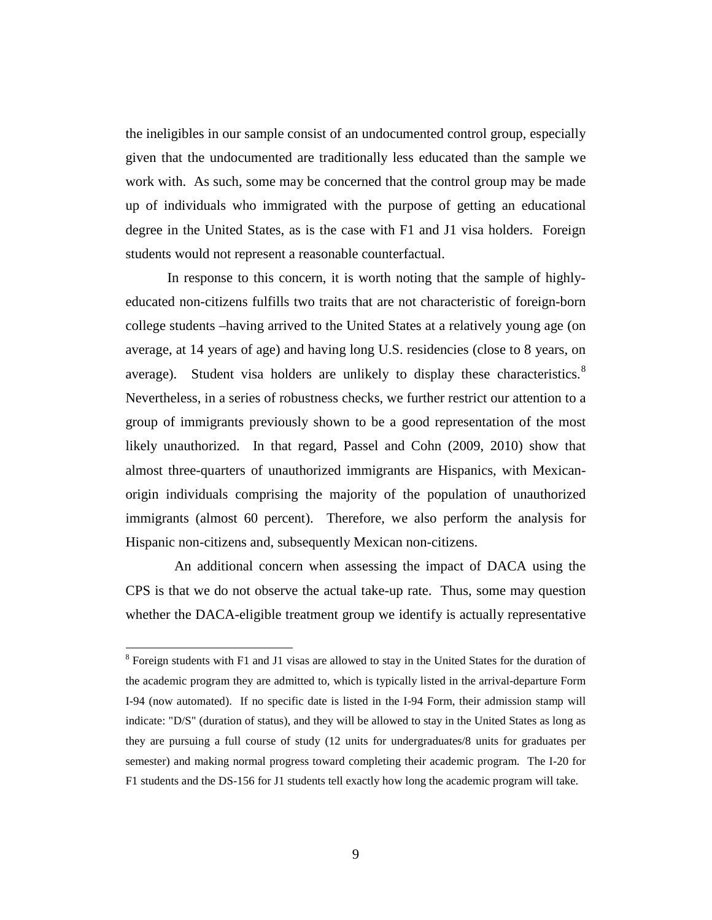the ineligibles in our sample consist of an undocumented control group, especially given that the undocumented are traditionally less educated than the sample we work with. As such, some may be concerned that the control group may be made up of individuals who immigrated with the purpose of getting an educational degree in the United States, as is the case with F1 and J1 visa holders. Foreign students would not represent a reasonable counterfactual.

In response to this concern, it is worth noting that the sample of highlyeducated non-citizens fulfills two traits that are not characteristic of foreign-born college students –having arrived to the United States at a relatively young age (on average, at 14 years of age) and having long U.S. residencies (close to 8 years, on average). Student visa holders are unlikely to display these characteristics. $8$ Nevertheless, in a series of robustness checks, we further restrict our attention to a group of immigrants previously shown to be a good representation of the most likely unauthorized. In that regard, Passel and Cohn (2009, 2010) show that almost three-quarters of unauthorized immigrants are Hispanics, with Mexicanorigin individuals comprising the majority of the population of unauthorized immigrants (almost 60 percent). Therefore, we also perform the analysis for Hispanic non-citizens and, subsequently Mexican non-citizens.

 An additional concern when assessing the impact of DACA using the CPS is that we do not observe the actual take-up rate. Thus, some may question whether the DACA-eligible treatment group we identify is actually representative

<span id="page-9-0"></span><sup>&</sup>lt;sup>8</sup> Foreign students with F1 and J1 visas are allowed to stay in the United States for the duration of the academic program they are admitted to, which is typically listed in the arrival-departure Form I-94 (now automated). If no specific date is listed in the I-94 Form, their admission stamp will indicate: "D/S" (duration of status), and they will be allowed to stay in the United States as long as they are pursuing a full course of study (12 units for undergraduates/8 units for graduates per semester) and making normal progress toward completing their academic program. The I-20 for F1 students and the DS-156 for J1 students tell exactly how long the academic program will take.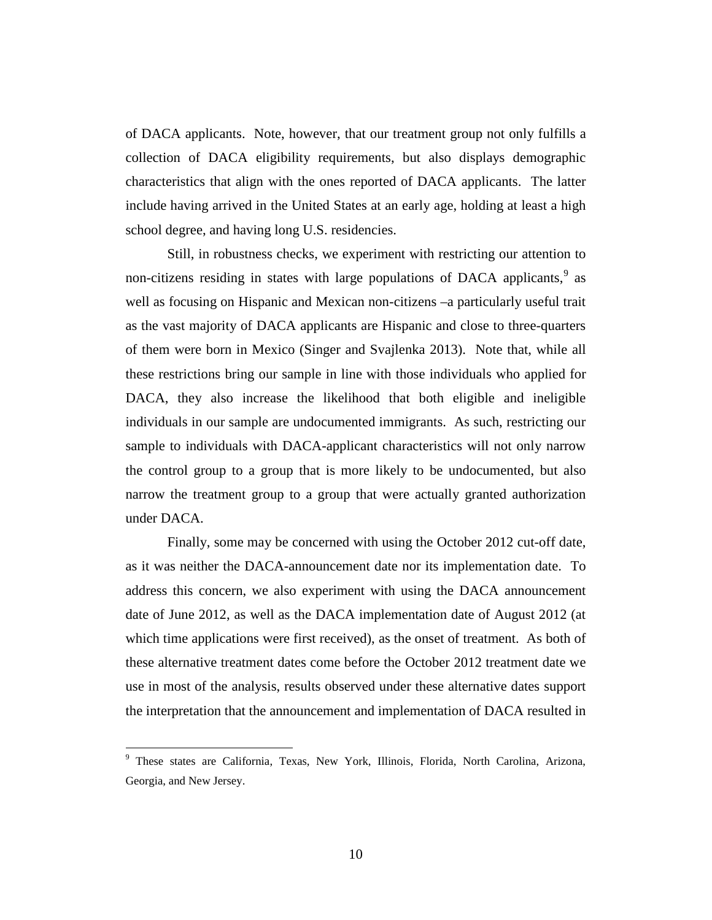of DACA applicants. Note, however, that our treatment group not only fulfills a collection of DACA eligibility requirements, but also displays demographic characteristics that align with the ones reported of DACA applicants. The latter include having arrived in the United States at an early age, holding at least a high school degree, and having long U.S. residencies.

Still, in robustness checks, we experiment with restricting our attention to non-citizens residing in states with large populations of DACA applicants,  $9$  as well as focusing on Hispanic and Mexican non-citizens –a particularly useful trait as the vast majority of DACA applicants are Hispanic and close to three-quarters of them were born in Mexico (Singer and Svajlenka 2013). Note that, while all these restrictions bring our sample in line with those individuals who applied for DACA, they also increase the likelihood that both eligible and ineligible individuals in our sample are undocumented immigrants. As such, restricting our sample to individuals with DACA-applicant characteristics will not only narrow the control group to a group that is more likely to be undocumented, but also narrow the treatment group to a group that were actually granted authorization under DACA.

Finally, some may be concerned with using the October 2012 cut-off date, as it was neither the DACA-announcement date nor its implementation date. To address this concern, we also experiment with using the DACA announcement date of June 2012, as well as the DACA implementation date of August 2012 (at which time applications were first received), as the onset of treatment. As both of these alternative treatment dates come before the October 2012 treatment date we use in most of the analysis, results observed under these alternative dates support the interpretation that the announcement and implementation of DACA resulted in

<span id="page-10-0"></span><sup>9</sup> These states are California, Texas, New York, Illinois, Florida, North Carolina, Arizona, Georgia, and New Jersey.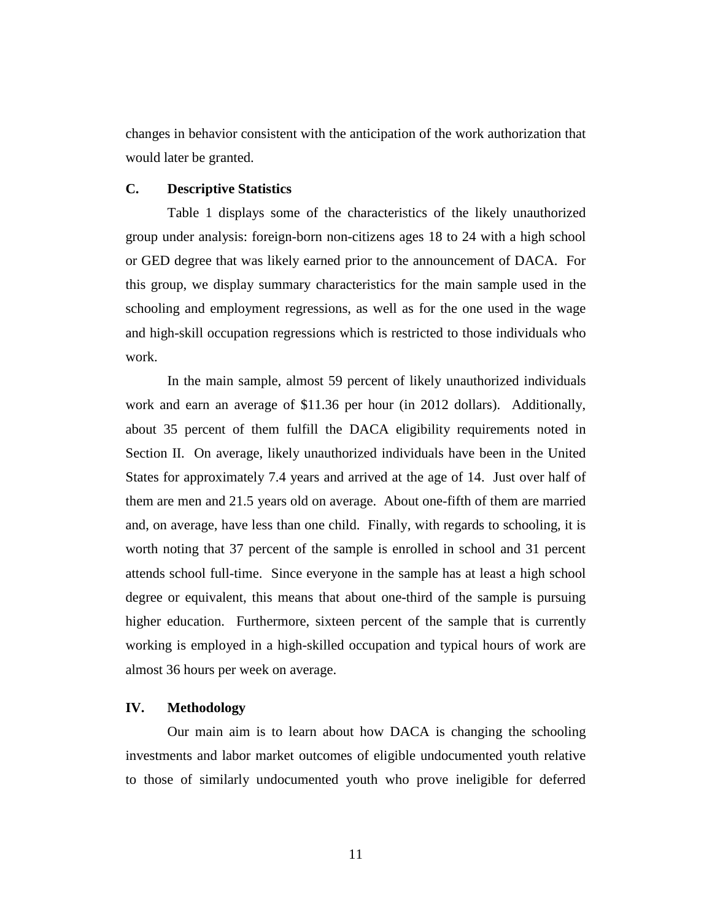changes in behavior consistent with the anticipation of the work authorization that would later be granted.

# **C. Descriptive Statistics**

Table 1 displays some of the characteristics of the likely unauthorized group under analysis: foreign-born non-citizens ages 18 to 24 with a high school or GED degree that was likely earned prior to the announcement of DACA. For this group, we display summary characteristics for the main sample used in the schooling and employment regressions, as well as for the one used in the wage and high-skill occupation regressions which is restricted to those individuals who work.

In the main sample, almost 59 percent of likely unauthorized individuals work and earn an average of \$11.36 per hour (in 2012 dollars). Additionally, about 35 percent of them fulfill the DACA eligibility requirements noted in Section II. On average, likely unauthorized individuals have been in the United States for approximately 7.4 years and arrived at the age of 14. Just over half of them are men and 21.5 years old on average. About one-fifth of them are married and, on average, have less than one child. Finally, with regards to schooling, it is worth noting that 37 percent of the sample is enrolled in school and 31 percent attends school full-time. Since everyone in the sample has at least a high school degree or equivalent, this means that about one-third of the sample is pursuing higher education. Furthermore, sixteen percent of the sample that is currently working is employed in a high-skilled occupation and typical hours of work are almost 36 hours per week on average.

# **IV. Methodology**

Our main aim is to learn about how DACA is changing the schooling investments and labor market outcomes of eligible undocumented youth relative to those of similarly undocumented youth who prove ineligible for deferred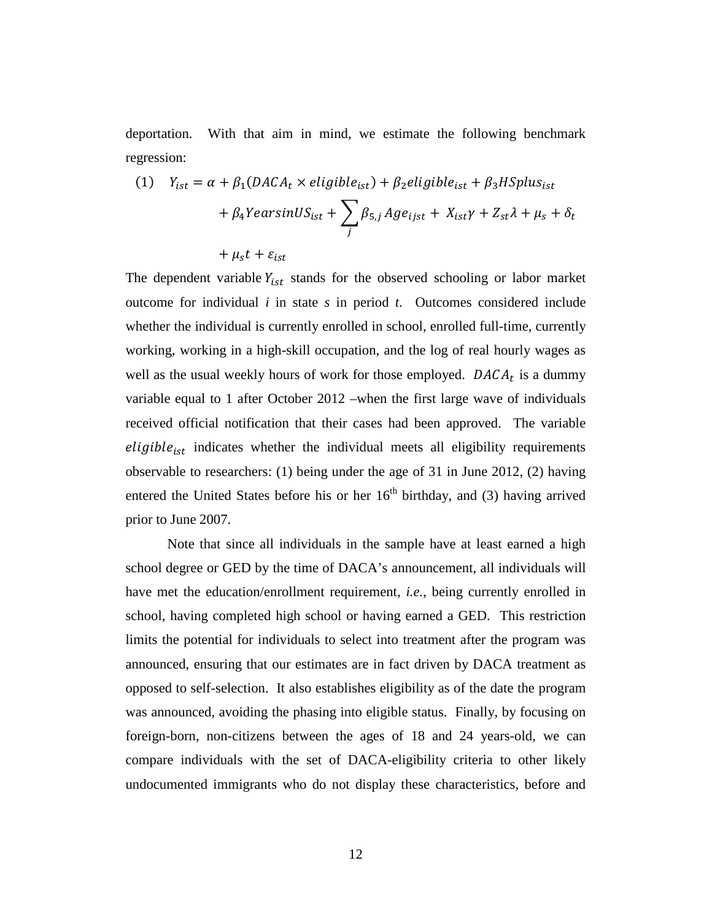deportation. With that aim in mind, we estimate the following benchmark regression:

(1) 
$$
Y_{ist} = \alpha + \beta_1 (DACA_t \times eligible_{ist}) + \beta_2 eligible_{ist} + \beta_3 HSplus_{ist}
$$
  
  $+ \beta_4 YearsinUS_{ist} + \sum_j \beta_{5,j} Age_{ijst} + X_{ist}\gamma + Z_{st}\lambda + \mu_s + \delta_t$   
  $+ \mu_s t + \varepsilon_{ist}$ 

The dependent variable  $Y_{ist}$  stands for the observed schooling or labor market outcome for individual *i* in state *s* in period *t*. Outcomes considered include whether the individual is currently enrolled in school, enrolled full-time, currently working, working in a high-skill occupation, and the log of real hourly wages as well as the usual weekly hours of work for those employed.  $DACA_t$  is a dummy variable equal to 1 after October 2012 –when the first large wave of individuals received official notification that their cases had been approved. The variable  $eligible<sub>ist</sub>$  indicates whether the individual meets all eligibility requirements observable to researchers: (1) being under the age of 31 in June 2012, (2) having entered the United States before his or her  $16<sup>th</sup>$  birthday, and (3) having arrived prior to June 2007.

Note that since all individuals in the sample have at least earned a high school degree or GED by the time of DACA's announcement, all individuals will have met the education/enrollment requirement, *i.e.*, being currently enrolled in school, having completed high school or having earned a GED. This restriction limits the potential for individuals to select into treatment after the program was announced, ensuring that our estimates are in fact driven by DACA treatment as opposed to self-selection. It also establishes eligibility as of the date the program was announced, avoiding the phasing into eligible status. Finally, by focusing on foreign-born, non-citizens between the ages of 18 and 24 years-old, we can compare individuals with the set of DACA-eligibility criteria to other likely undocumented immigrants who do not display these characteristics, before and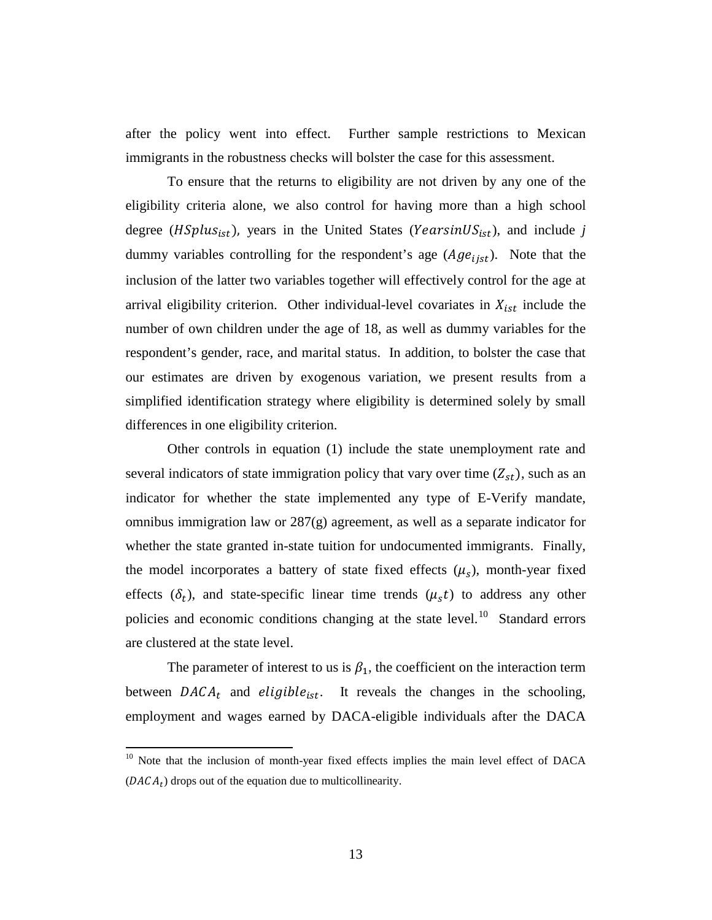after the policy went into effect. Further sample restrictions to Mexican immigrants in the robustness checks will bolster the case for this assessment.

To ensure that the returns to eligibility are not driven by any one of the eligibility criteria alone, we also control for having more than a high school degree ( $HSplus_{ist}$ ), years in the United States ( $\text{Years}$ in $US_{ist}$ ), and include *j* dummy variables controlling for the respondent's age  $(Age<sub>list</sub>)$ . Note that the inclusion of the latter two variables together will effectively control for the age at arrival eligibility criterion. Other individual-level covariates in  $X_{ist}$  include the number of own children under the age of 18, as well as dummy variables for the respondent's gender, race, and marital status. In addition, to bolster the case that our estimates are driven by exogenous variation, we present results from a simplified identification strategy where eligibility is determined solely by small differences in one eligibility criterion.

Other controls in equation (1) include the state unemployment rate and several indicators of state immigration policy that vary over time  $(Z_{st})$ , such as an indicator for whether the state implemented any type of E-Verify mandate, omnibus immigration law or 287(g) agreement, as well as a separate indicator for whether the state granted in-state tuition for undocumented immigrants. Finally, the model incorporates a battery of state fixed effects  $(\mu_s)$ , month-year fixed effects  $(\delta_t)$ , and state-specific linear time trends  $(\mu_s t)$  to address any other policies and economic conditions changing at the state level.<sup>10</sup> Standard errors are clustered at the state level.

The parameter of interest to us is  $\beta_1$ , the coefficient on the interaction term between  $DACA_t$  and eligible<sub>ist</sub>. It reveals the changes in the schooling, employment and wages earned by DACA-eligible individuals after the DACA

<span id="page-13-0"></span><sup>&</sup>lt;sup>10</sup> Note that the inclusion of month-year fixed effects implies the main level effect of DACA  $(DACA<sub>t</sub>)$  drops out of the equation due to multicollinearity.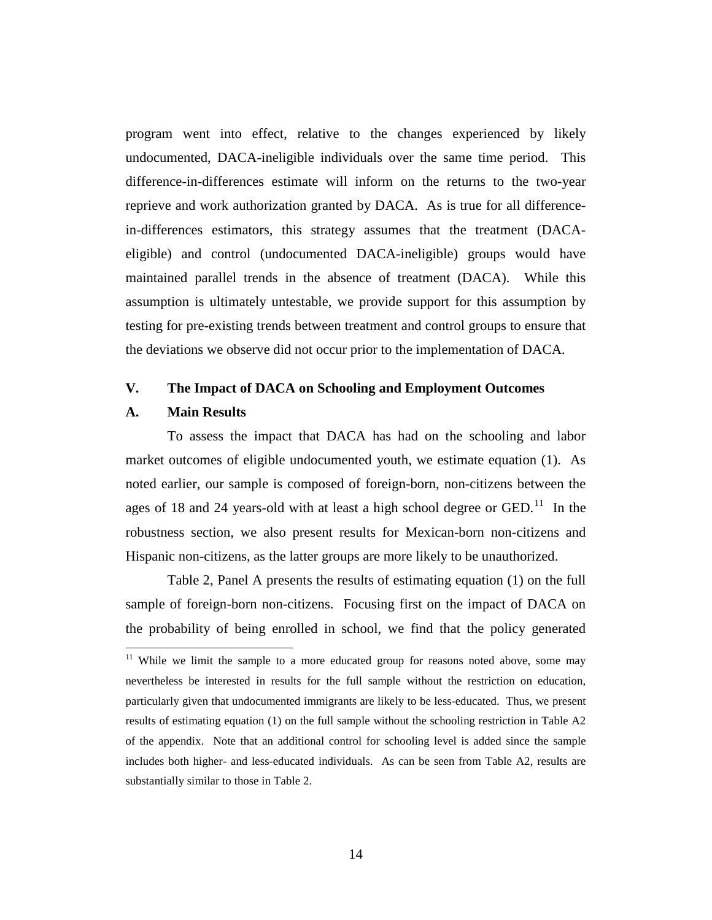program went into effect, relative to the changes experienced by likely undocumented, DACA-ineligible individuals over the same time period. This difference-in-differences estimate will inform on the returns to the two-year reprieve and work authorization granted by DACA. As is true for all differencein-differences estimators, this strategy assumes that the treatment (DACAeligible) and control (undocumented DACA-ineligible) groups would have maintained parallel trends in the absence of treatment (DACA). While this assumption is ultimately untestable, we provide support for this assumption by testing for pre-existing trends between treatment and control groups to ensure that the deviations we observe did not occur prior to the implementation of DACA.

# **V. The Impact of DACA on Schooling and Employment Outcomes**

# **A. Main Results**

To assess the impact that DACA has had on the schooling and labor market outcomes of eligible undocumented youth, we estimate equation (1). As noted earlier, our sample is composed of foreign-born, non-citizens between the ages of 18 and 24 years-old with at least a high school degree or  $GED$ .<sup>11</sup> In the robustness section, we also present results for Mexican-born non-citizens and Hispanic non-citizens, as the latter groups are more likely to be unauthorized.

Table 2, Panel A presents the results of estimating equation (1) on the full sample of foreign-born non-citizens. Focusing first on the impact of DACA on the probability of being enrolled in school, we find that the policy generated

<span id="page-14-0"></span> $11$  While we limit the sample to a more educated group for reasons noted above, some may nevertheless be interested in results for the full sample without the restriction on education, particularly given that undocumented immigrants are likely to be less-educated. Thus, we present results of estimating equation (1) on the full sample without the schooling restriction in Table A2 of the appendix. Note that an additional control for schooling level is added since the sample includes both higher- and less-educated individuals. As can be seen from Table A2, results are substantially similar to those in Table 2.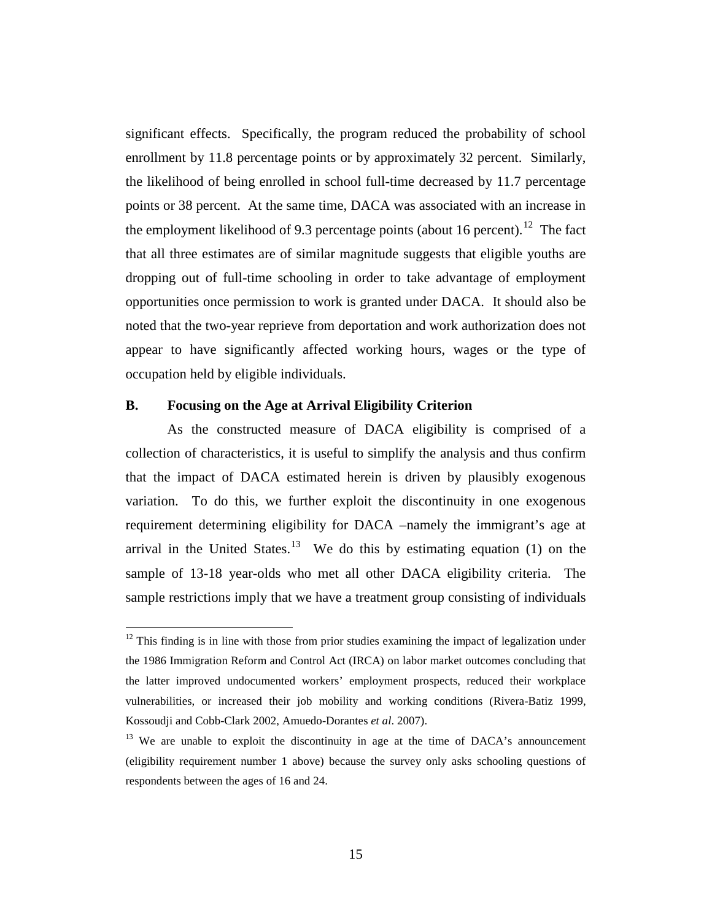significant effects. Specifically, the program reduced the probability of school enrollment by 11.8 percentage points or by approximately 32 percent. Similarly, the likelihood of being enrolled in school full-time decreased by 11.7 percentage points or 38 percent. At the same time, DACA was associated with an increase in the employment likelihood of 9.3 percentage points (about 16 percent).<sup>12</sup> The fact that all three estimates are of similar magnitude suggests that eligible youths are dropping out of full-time schooling in order to take advantage of employment opportunities once permission to work is granted under DACA. It should also be noted that the two-year reprieve from deportation and work authorization does not appear to have significantly affected working hours, wages or the type of occupation held by eligible individuals.

# **B. Focusing on the Age at Arrival Eligibility Criterion**

As the constructed measure of DACA eligibility is comprised of a collection of characteristics, it is useful to simplify the analysis and thus confirm that the impact of DACA estimated herein is driven by plausibly exogenous variation. To do this, we further exploit the discontinuity in one exogenous requirement determining eligibility for DACA –namely the immigrant's age at arrival in the United States.<sup>13</sup> We do this by estimating equation (1) on the sample of 13-18 year-olds who met all other DACA eligibility criteria. The sample restrictions imply that we have a treatment group consisting of individuals

<span id="page-15-0"></span> $12$  This finding is in line with those from prior studies examining the impact of legalization under the 1986 Immigration Reform and Control Act (IRCA) on labor market outcomes concluding that the latter improved undocumented workers' employment prospects, reduced their workplace vulnerabilities, or increased their job mobility and working conditions (Rivera-Batiz 1999, Kossoudji and Cobb-Clark 2002, Amuedo-Dorantes *et al*. 2007).

<span id="page-15-1"></span><sup>&</sup>lt;sup>13</sup> We are unable to exploit the discontinuity in age at the time of DACA's announcement (eligibility requirement number 1 above) because the survey only asks schooling questions of respondents between the ages of 16 and 24.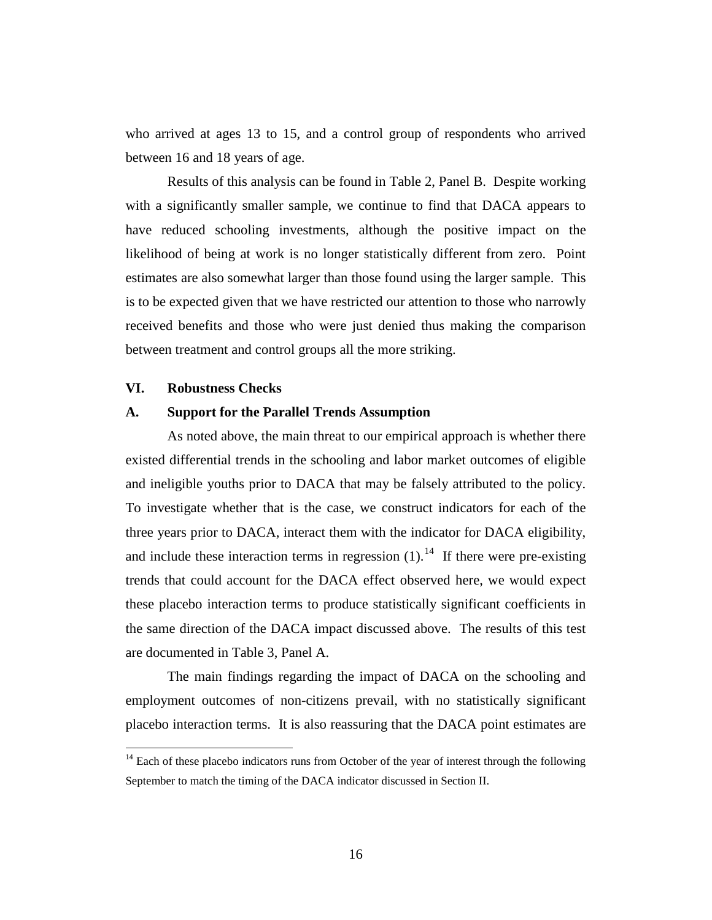who arrived at ages 13 to 15, and a control group of respondents who arrived between 16 and 18 years of age.

Results of this analysis can be found in Table 2, Panel B. Despite working with a significantly smaller sample, we continue to find that DACA appears to have reduced schooling investments, although the positive impact on the likelihood of being at work is no longer statistically different from zero. Point estimates are also somewhat larger than those found using the larger sample. This is to be expected given that we have restricted our attention to those who narrowly received benefits and those who were just denied thus making the comparison between treatment and control groups all the more striking.

#### **VI. Robustness Checks**

# **A. Support for the Parallel Trends Assumption**

As noted above, the main threat to our empirical approach is whether there existed differential trends in the schooling and labor market outcomes of eligible and ineligible youths prior to DACA that may be falsely attributed to the policy. To investigate whether that is the case, we construct indicators for each of the three years prior to DACA, interact them with the indicator for DACA eligibility, and include these interaction terms in regression  $(1)$ .<sup>[14](#page-16-0)</sup> If there were pre-existing trends that could account for the DACA effect observed here, we would expect these placebo interaction terms to produce statistically significant coefficients in the same direction of the DACA impact discussed above. The results of this test are documented in Table 3, Panel A.

The main findings regarding the impact of DACA on the schooling and employment outcomes of non-citizens prevail, with no statistically significant placebo interaction terms. It is also reassuring that the DACA point estimates are

<span id="page-16-0"></span> $14$  Each of these placebo indicators runs from October of the year of interest through the following September to match the timing of the DACA indicator discussed in Section II.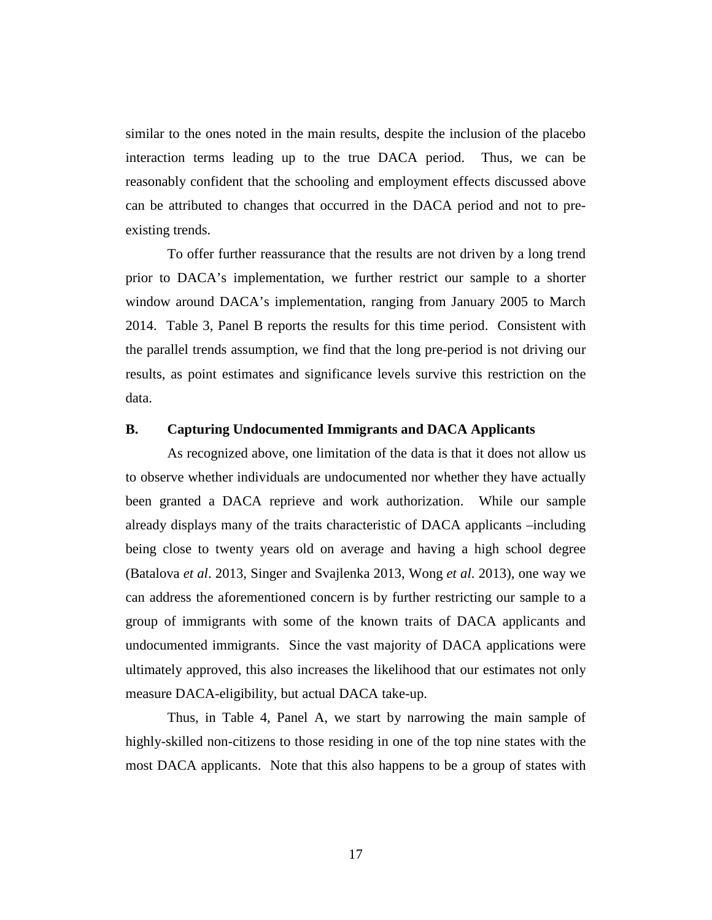similar to the ones noted in the main results, despite the inclusion of the placebo interaction terms leading up to the true DACA period. Thus, we can be reasonably confident that the schooling and employment effects discussed above can be attributed to changes that occurred in the DACA period and not to preexisting trends.

To offer further reassurance that the results are not driven by a long trend prior to DACA's implementation, we further restrict our sample to a shorter window around DACA's implementation, ranging from January 2005 to March 2014. Table 3, Panel B reports the results for this time period. Consistent with the parallel trends assumption, we find that the long pre-period is not driving our results, as point estimates and significance levels survive this restriction on the data.

# **B. Capturing Undocumented Immigrants and DACA Applicants**

As recognized above, one limitation of the data is that it does not allow us to observe whether individuals are undocumented nor whether they have actually been granted a DACA reprieve and work authorization. While our sample already displays many of the traits characteristic of DACA applicants –including being close to twenty years old on average and having a high school degree (Batalova *et al*. 2013, Singer and Svajlenka 2013, Wong *et al*. 2013), one way we can address the aforementioned concern is by further restricting our sample to a group of immigrants with some of the known traits of DACA applicants and undocumented immigrants. Since the vast majority of DACA applications were ultimately approved, this also increases the likelihood that our estimates not only measure DACA-eligibility, but actual DACA take-up.

Thus, in Table 4, Panel A, we start by narrowing the main sample of highly-skilled non-citizens to those residing in one of the top nine states with the most DACA applicants. Note that this also happens to be a group of states with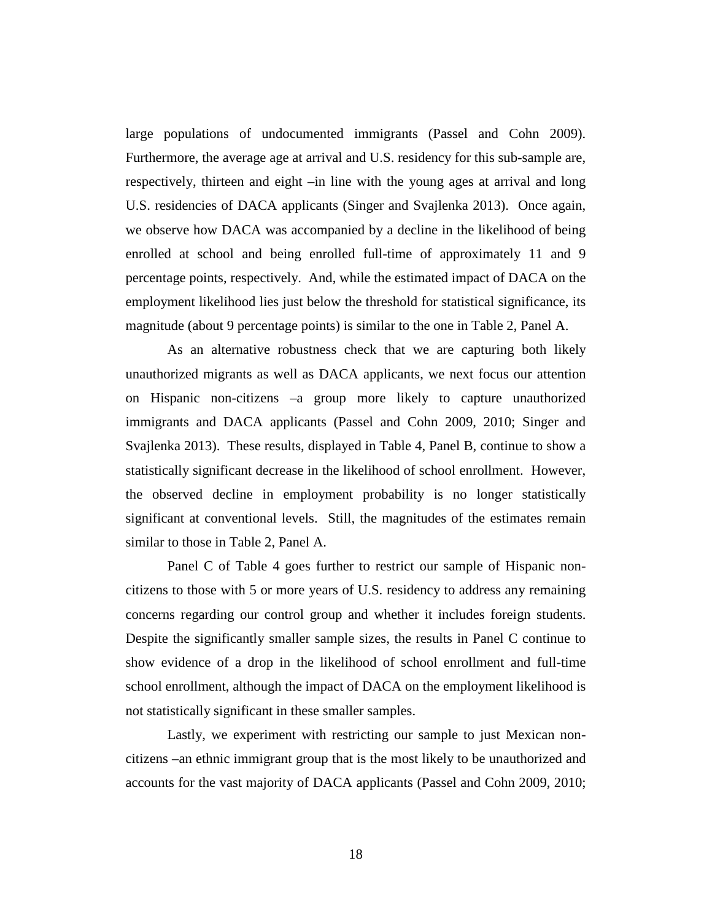large populations of undocumented immigrants (Passel and Cohn 2009). Furthermore, the average age at arrival and U.S. residency for this sub-sample are, respectively, thirteen and eight –in line with the young ages at arrival and long U.S. residencies of DACA applicants (Singer and Svajlenka 2013). Once again, we observe how DACA was accompanied by a decline in the likelihood of being enrolled at school and being enrolled full-time of approximately 11 and 9 percentage points, respectively. And, while the estimated impact of DACA on the employment likelihood lies just below the threshold for statistical significance, its magnitude (about 9 percentage points) is similar to the one in Table 2, Panel A.

As an alternative robustness check that we are capturing both likely unauthorized migrants as well as DACA applicants, we next focus our attention on Hispanic non-citizens –a group more likely to capture unauthorized immigrants and DACA applicants (Passel and Cohn 2009, 2010; Singer and Svajlenka 2013). These results, displayed in Table 4, Panel B, continue to show a statistically significant decrease in the likelihood of school enrollment. However, the observed decline in employment probability is no longer statistically significant at conventional levels. Still, the magnitudes of the estimates remain similar to those in Table 2, Panel A.

Panel C of Table 4 goes further to restrict our sample of Hispanic noncitizens to those with 5 or more years of U.S. residency to address any remaining concerns regarding our control group and whether it includes foreign students. Despite the significantly smaller sample sizes, the results in Panel C continue to show evidence of a drop in the likelihood of school enrollment and full-time school enrollment, although the impact of DACA on the employment likelihood is not statistically significant in these smaller samples.

Lastly, we experiment with restricting our sample to just Mexican noncitizens –an ethnic immigrant group that is the most likely to be unauthorized and accounts for the vast majority of DACA applicants (Passel and Cohn 2009, 2010;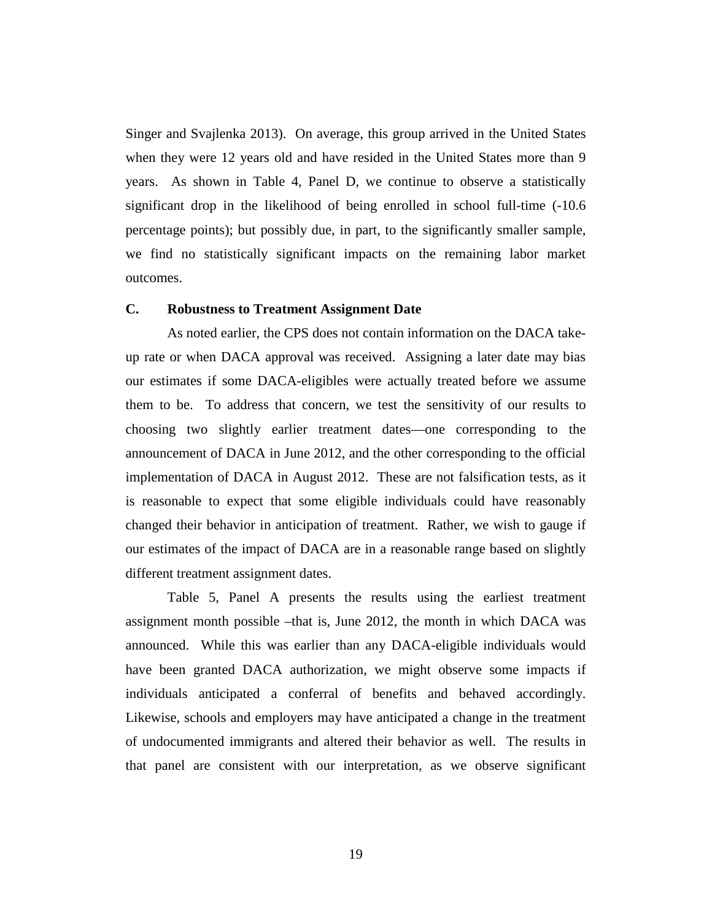Singer and Svajlenka 2013). On average, this group arrived in the United States when they were 12 years old and have resided in the United States more than 9 years. As shown in Table 4, Panel D, we continue to observe a statistically significant drop in the likelihood of being enrolled in school full-time (-10.6 percentage points); but possibly due, in part, to the significantly smaller sample, we find no statistically significant impacts on the remaining labor market outcomes.

#### **C. Robustness to Treatment Assignment Date**

As noted earlier, the CPS does not contain information on the DACA takeup rate or when DACA approval was received. Assigning a later date may bias our estimates if some DACA-eligibles were actually treated before we assume them to be. To address that concern, we test the sensitivity of our results to choosing two slightly earlier treatment dates—one corresponding to the announcement of DACA in June 2012, and the other corresponding to the official implementation of DACA in August 2012. These are not falsification tests, as it is reasonable to expect that some eligible individuals could have reasonably changed their behavior in anticipation of treatment. Rather, we wish to gauge if our estimates of the impact of DACA are in a reasonable range based on slightly different treatment assignment dates.

Table 5, Panel A presents the results using the earliest treatment assignment month possible –that is, June 2012, the month in which DACA was announced. While this was earlier than any DACA-eligible individuals would have been granted DACA authorization, we might observe some impacts if individuals anticipated a conferral of benefits and behaved accordingly. Likewise, schools and employers may have anticipated a change in the treatment of undocumented immigrants and altered their behavior as well. The results in that panel are consistent with our interpretation, as we observe significant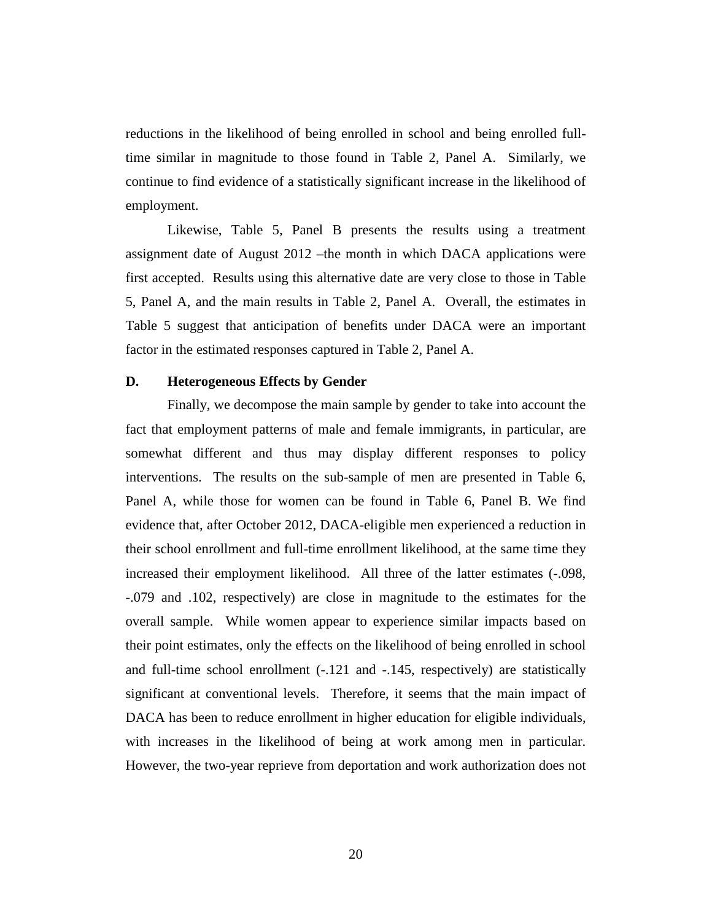reductions in the likelihood of being enrolled in school and being enrolled fulltime similar in magnitude to those found in Table 2, Panel A. Similarly, we continue to find evidence of a statistically significant increase in the likelihood of employment.

Likewise, Table 5, Panel B presents the results using a treatment assignment date of August 2012 –the month in which DACA applications were first accepted. Results using this alternative date are very close to those in Table 5, Panel A, and the main results in Table 2, Panel A. Overall, the estimates in Table 5 suggest that anticipation of benefits under DACA were an important factor in the estimated responses captured in Table 2, Panel A.

### **D. Heterogeneous Effects by Gender**

Finally, we decompose the main sample by gender to take into account the fact that employment patterns of male and female immigrants, in particular, are somewhat different and thus may display different responses to policy interventions. The results on the sub-sample of men are presented in Table 6, Panel A, while those for women can be found in Table 6, Panel B. We find evidence that, after October 2012, DACA-eligible men experienced a reduction in their school enrollment and full-time enrollment likelihood, at the same time they increased their employment likelihood. All three of the latter estimates (-.098, -.079 and .102, respectively) are close in magnitude to the estimates for the overall sample. While women appear to experience similar impacts based on their point estimates, only the effects on the likelihood of being enrolled in school and full-time school enrollment (-.121 and -.145, respectively) are statistically significant at conventional levels. Therefore, it seems that the main impact of DACA has been to reduce enrollment in higher education for eligible individuals, with increases in the likelihood of being at work among men in particular. However, the two-year reprieve from deportation and work authorization does not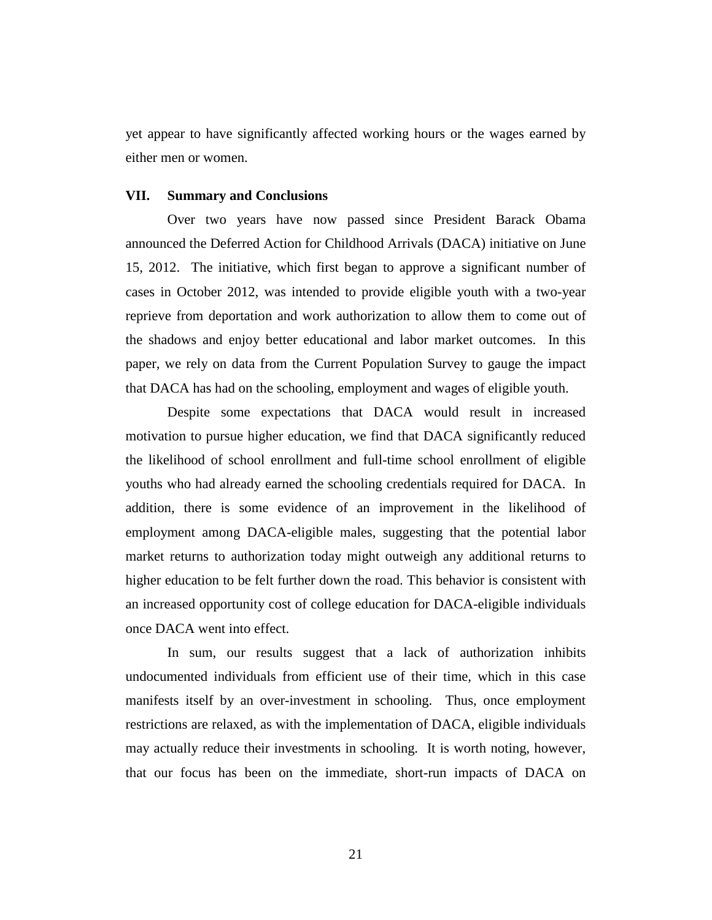yet appear to have significantly affected working hours or the wages earned by either men or women.

# **VII. Summary and Conclusions**

Over two years have now passed since President Barack Obama announced the Deferred Action for Childhood Arrivals (DACA) initiative on June 15, 2012. The initiative, which first began to approve a significant number of cases in October 2012, was intended to provide eligible youth with a two-year reprieve from deportation and work authorization to allow them to come out of the shadows and enjoy better educational and labor market outcomes. In this paper, we rely on data from the Current Population Survey to gauge the impact that DACA has had on the schooling, employment and wages of eligible youth.

Despite some expectations that DACA would result in increased motivation to pursue higher education, we find that DACA significantly reduced the likelihood of school enrollment and full-time school enrollment of eligible youths who had already earned the schooling credentials required for DACA. In addition, there is some evidence of an improvement in the likelihood of employment among DACA-eligible males, suggesting that the potential labor market returns to authorization today might outweigh any additional returns to higher education to be felt further down the road. This behavior is consistent with an increased opportunity cost of college education for DACA-eligible individuals once DACA went into effect.

In sum, our results suggest that a lack of authorization inhibits undocumented individuals from efficient use of their time, which in this case manifests itself by an over-investment in schooling. Thus, once employment restrictions are relaxed, as with the implementation of DACA, eligible individuals may actually reduce their investments in schooling. It is worth noting, however, that our focus has been on the immediate, short-run impacts of DACA on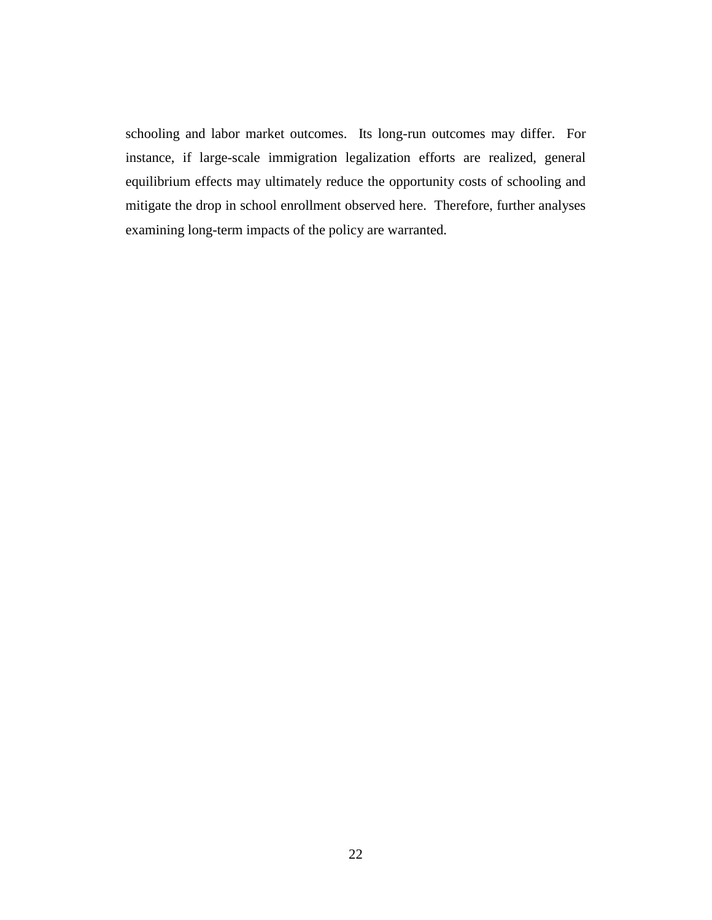schooling and labor market outcomes. Its long-run outcomes may differ. For instance, if large-scale immigration legalization efforts are realized, general equilibrium effects may ultimately reduce the opportunity costs of schooling and mitigate the drop in school enrollment observed here. Therefore, further analyses examining long-term impacts of the policy are warranted.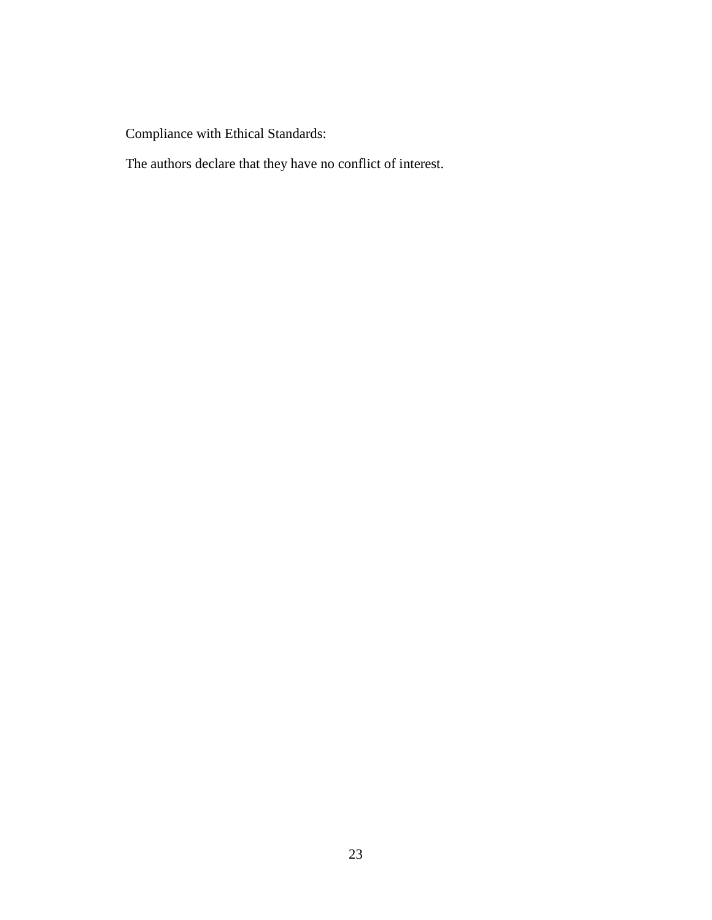Compliance with Ethical Standards:

The authors declare that they have no conflict of interest.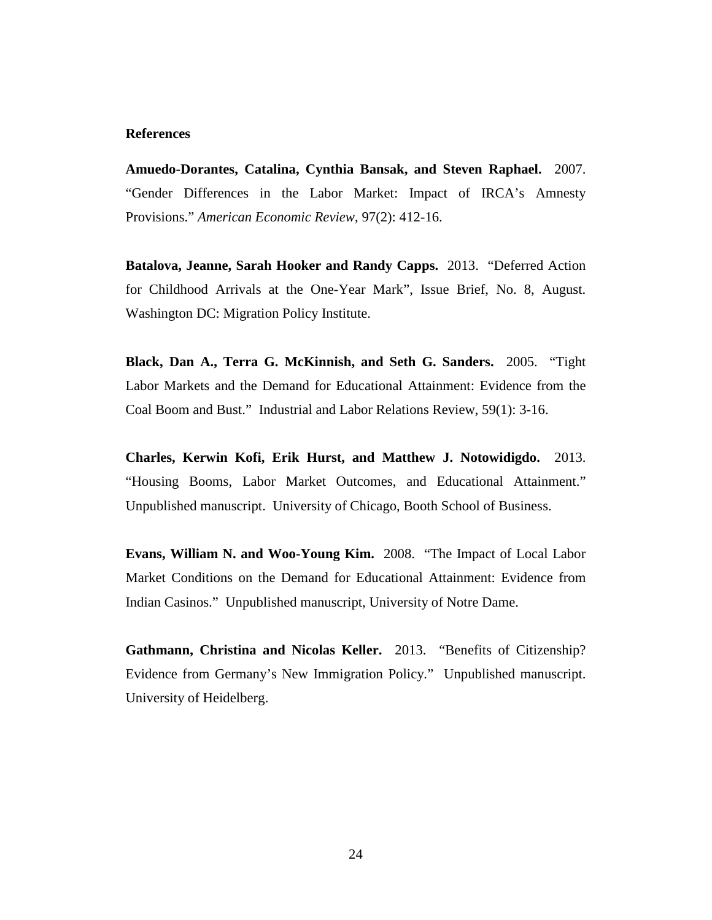## **References**

**Amuedo-Dorantes, Catalina, Cynthia Bansak, and Steven Raphael.** 2007. "Gender Differences in the Labor Market: Impact of IRCA's Amnesty Provisions." *American Economic Review*, 97(2): 412-16.

**Batalova, Jeanne, Sarah Hooker and Randy Capps.** 2013. "Deferred Action for Childhood Arrivals at the One-Year Mark", Issue Brief, No. 8, August. Washington DC: Migration Policy Institute.

**Black, Dan A., Terra G. McKinnish, and Seth G. Sanders.** 2005. "Tight Labor Markets and the Demand for Educational Attainment: Evidence from the Coal Boom and Bust." Industrial and Labor Relations Review, 59(1): 3-16.

**Charles, Kerwin Kofi, Erik Hurst, and Matthew J. Notowidigdo.** 2013. "Housing Booms, Labor Market Outcomes, and Educational Attainment." Unpublished manuscript. University of Chicago, Booth School of Business.

**Evans, William N. and Woo-Young Kim.** 2008. "The Impact of Local Labor Market Conditions on the Demand for Educational Attainment: Evidence from Indian Casinos." Unpublished manuscript, University of Notre Dame.

**Gathmann, Christina and Nicolas Keller.** 2013. "Benefits of Citizenship? Evidence from Germany's New Immigration Policy." Unpublished manuscript. University of Heidelberg.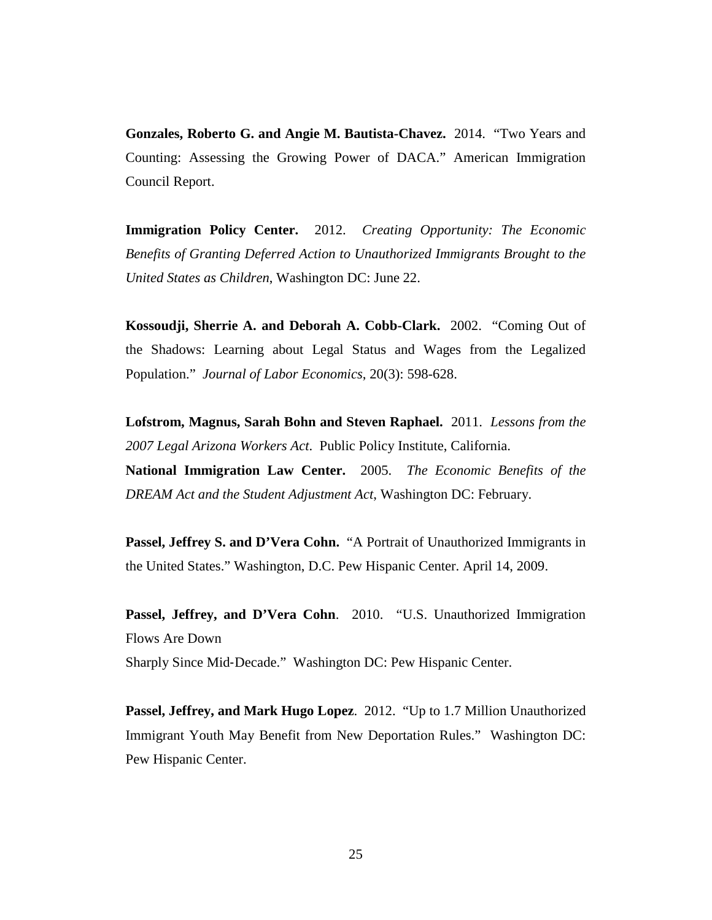**Gonzales, Roberto G. and Angie M. Bautista-Chavez.** 2014. "Two Years and Counting: Assessing the Growing Power of DACA." American Immigration Council Report.

**Immigration Policy Center.** 2012. *Creating Opportunity: The Economic Benefits of Granting Deferred Action to Unauthorized Immigrants Brought to the United States as Children*, Washington DC: June 22.

**Kossoudji, Sherrie A. and Deborah A. Cobb-Clark.** 2002. "Coming Out of the Shadows: Learning about Legal Status and Wages from the Legalized Population." *Journal of Labor Economics*, 20(3): 598-628.

**Lofstrom, Magnus, Sarah Bohn and Steven Raphael.** 2011. *Lessons from the 2007 Legal Arizona Workers Act*. Public Policy Institute, California. **National Immigration Law Center.** 2005. *The Economic Benefits of the DREAM Act and the Student Adjustment Act*, Washington DC: February.

Passel, Jeffrey S. and D'Vera Cohn. "A Portrait of Unauthorized Immigrants in the United States." Washington, D.C. Pew Hispanic Center. April 14, 2009.

Passel, Jeffrey, and D'Vera Cohn. 2010. "U.S. Unauthorized Immigration Flows Are Down Sharply Since Mid‐Decade." Washington DC: Pew Hispanic Center.

**Passel, Jeffrey, and Mark Hugo Lopez**. 2012. "Up to 1.7 Million Unauthorized Immigrant Youth May Benefit from New Deportation Rules." Washington DC: Pew Hispanic Center.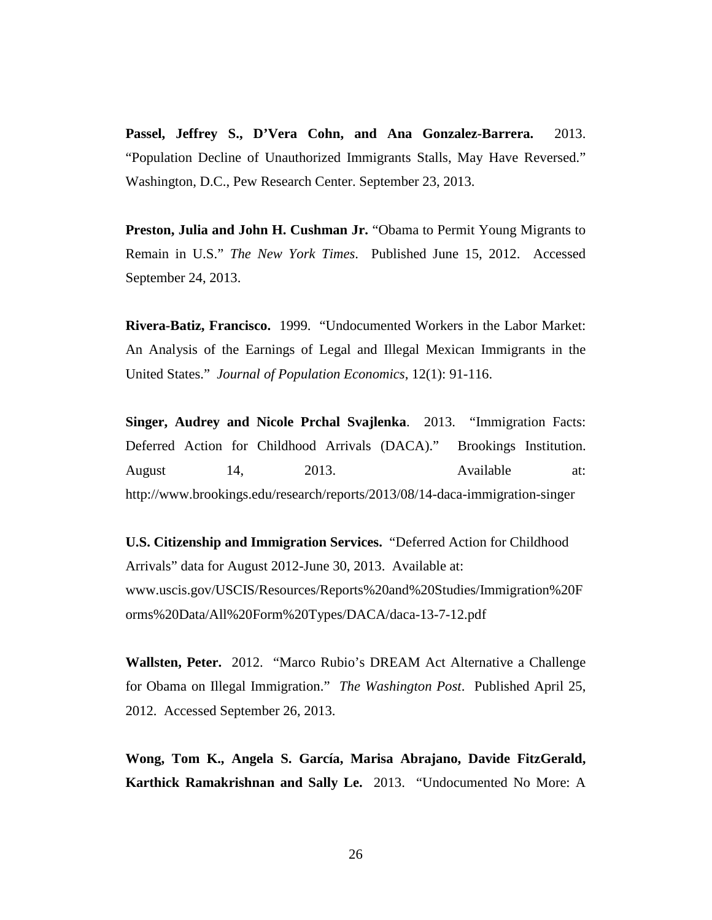**Passel, Jeffrey S., D'Vera Cohn, and Ana Gonzalez-Barrera.** 2013. "Population Decline of Unauthorized Immigrants Stalls, May Have Reversed." Washington, D.C., Pew Research Center. September 23, 2013.

**Preston, Julia and John H. Cushman Jr.** "Obama to Permit Young Migrants to Remain in U.S." *The New York Times*. Published June 15, 2012. Accessed September 24, 2013.

**Rivera-Batiz, Francisco.** 1999. "Undocumented Workers in the Labor Market: An Analysis of the Earnings of Legal and Illegal Mexican Immigrants in the United States." *Journal of Population Economics*, 12(1): 91-116.

**Singer, Audrey and Nicole Prchal Svajlenka**. 2013. "Immigration Facts: Deferred Action for Childhood Arrivals (DACA)." Brookings Institution. August 14, 2013. Available at: http://www.brookings.edu/research/reports/2013/08/14-daca-immigration-singer

**U.S. Citizenship and Immigration Services.** "Deferred Action for Childhood Arrivals" data for August 2012-June 30, 2013. Available at: www.uscis.gov/USCIS/Resources/Reports%20and%20Studies/Immigration%20F orms%20Data/All%20Form%20Types/DACA/daca-13-7-12.pdf

**Wallsten, Peter.** 2012. "Marco Rubio's DREAM Act Alternative a Challenge for Obama on Illegal Immigration." *The Washington Post*. Published April 25, 2012. Accessed September 26, 2013.

**Wong, Tom K., Angela S. García, Marisa Abrajano, Davide FitzGerald, Karthick Ramakrishnan and Sally Le.** 2013. "Undocumented No More: A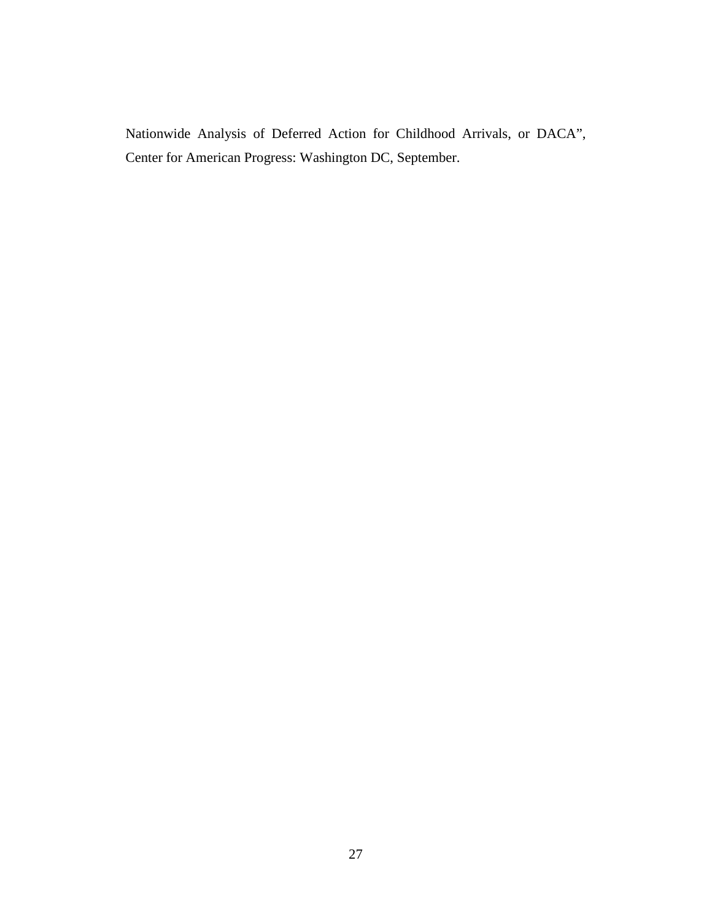Nationwide Analysis of Deferred Action for Childhood Arrivals, or DACA", Center for American Progress: Washington DC, September.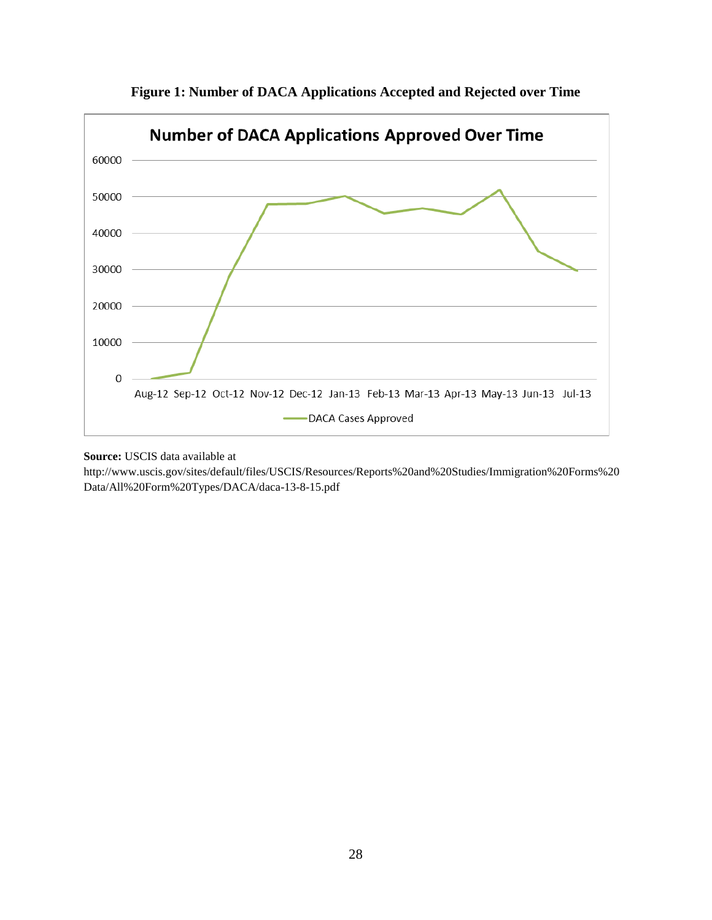

**Figure 1: Number of DACA Applications Accepted and Rejected over Time**

# **Source:** USCIS data available at

http://www.uscis.gov/sites/default/files/USCIS/Resources/Reports%20and%20Studies/Immigration%20Forms%20 Data/All%20Form%20Types/DACA/daca-13-8-15.pdf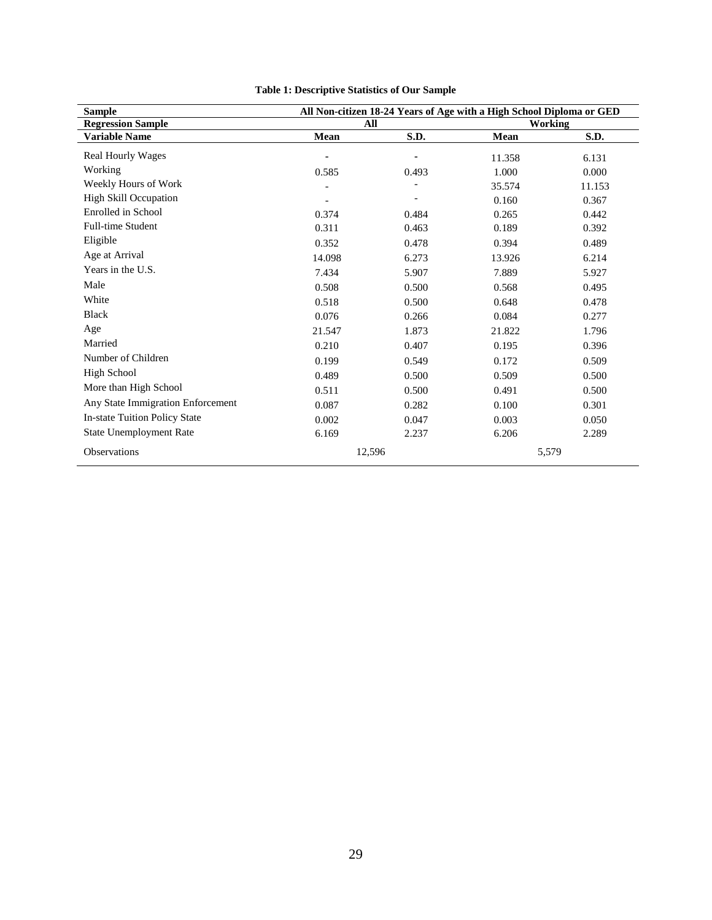| <b>Sample</b>                        | All Non-citizen 18-24 Years of Age with a High School Diploma or GED |       |         |        |  |
|--------------------------------------|----------------------------------------------------------------------|-------|---------|--------|--|
| <b>Regression Sample</b>             | All                                                                  |       | Working |        |  |
| <b>Variable Name</b>                 | Mean                                                                 | S.D.  | Mean    | S.D.   |  |
| <b>Real Hourly Wages</b>             |                                                                      |       | 11.358  | 6.131  |  |
| Working                              | 0.585                                                                | 0.493 | 1.000   | 0.000  |  |
| Weekly Hours of Work                 |                                                                      |       | 35.574  | 11.153 |  |
| <b>High Skill Occupation</b>         |                                                                      |       | 0.160   | 0.367  |  |
| Enrolled in School                   | 0.374                                                                | 0.484 | 0.265   | 0.442  |  |
| <b>Full-time Student</b>             | 0.311                                                                | 0.463 | 0.189   | 0.392  |  |
| Eligible                             | 0.352                                                                | 0.478 | 0.394   | 0.489  |  |
| Age at Arrival                       | 14.098                                                               | 6.273 | 13.926  | 6.214  |  |
| Years in the U.S.                    | 7.434                                                                | 5.907 | 7.889   | 5.927  |  |
| Male                                 | 0.508                                                                | 0.500 | 0.568   | 0.495  |  |
| White                                | 0.518                                                                | 0.500 | 0.648   | 0.478  |  |
| <b>Black</b>                         | 0.076                                                                | 0.266 | 0.084   | 0.277  |  |
| Age                                  | 21.547                                                               | 1.873 | 21.822  | 1.796  |  |
| Married                              | 0.210                                                                | 0.407 | 0.195   | 0.396  |  |
| Number of Children                   | 0.199                                                                | 0.549 | 0.172   | 0.509  |  |
| <b>High School</b>                   | 0.489                                                                | 0.500 | 0.509   | 0.500  |  |
| More than High School                | 0.511                                                                | 0.500 | 0.491   | 0.500  |  |
| Any State Immigration Enforcement    | 0.087                                                                | 0.282 | 0.100   | 0.301  |  |
| <b>In-state Tuition Policy State</b> | 0.002                                                                | 0.047 | 0.003   | 0.050  |  |
| <b>State Unemployment Rate</b>       | 6.169                                                                | 2.237 | 6.206   | 2.289  |  |
| Observations                         | 12,596                                                               |       | 5,579   |        |  |

# **Table 1: Descriptive Statistics of Our Sample**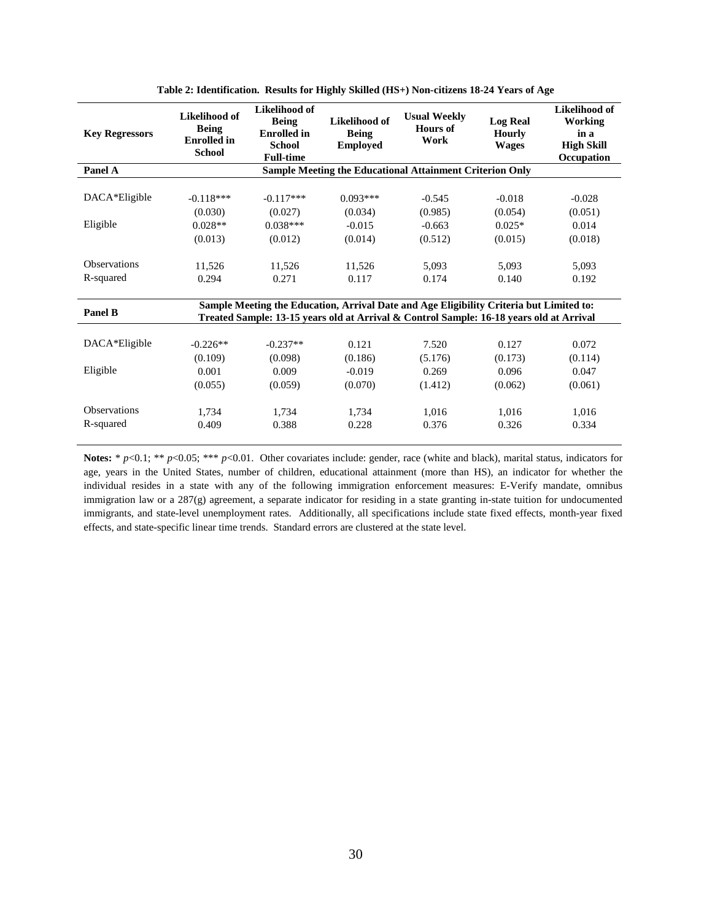| <b>Key Regressors</b> | Likelihood of<br><b>Being</b><br><b>Enrolled</b> in<br><b>School</b>                                                                                                               | Likelihood of<br><b>Being</b><br><b>Enrolled</b> in<br><b>School</b><br><b>Full-time</b> | Likelihood of<br><b>Being</b><br><b>Employed</b> | <b>Usual Weekly</b><br>Hours of<br>Work                         | <b>Log Real</b><br><b>Hourly</b><br><b>Wages</b> | Likelihood of<br>Working<br>in a<br><b>High Skill</b><br>Occupation |
|-----------------------|------------------------------------------------------------------------------------------------------------------------------------------------------------------------------------|------------------------------------------------------------------------------------------|--------------------------------------------------|-----------------------------------------------------------------|--------------------------------------------------|---------------------------------------------------------------------|
| Panel A               |                                                                                                                                                                                    |                                                                                          |                                                  | <b>Sample Meeting the Educational Attainment Criterion Only</b> |                                                  |                                                                     |
| DACA*Eligible         | $-0.118***$                                                                                                                                                                        | $-0.117***$                                                                              | $0.093***$                                       | $-0.545$                                                        | $-0.018$                                         | $-0.028$                                                            |
|                       | (0.030)                                                                                                                                                                            | (0.027)                                                                                  | (0.034)                                          | (0.985)                                                         | (0.054)                                          | (0.051)                                                             |
| Eligible              | $0.028**$                                                                                                                                                                          | $0.038***$                                                                               | $-0.015$                                         | $-0.663$                                                        | $0.025*$                                         | 0.014                                                               |
|                       | (0.013)                                                                                                                                                                            | (0.012)                                                                                  | (0.014)                                          | (0.512)                                                         | (0.015)                                          | (0.018)                                                             |
| <b>Observations</b>   | 11,526                                                                                                                                                                             | 11,526                                                                                   | 11,526                                           | 5.093                                                           | 5.093                                            | 5,093                                                               |
| R-squared             | 0.294                                                                                                                                                                              | 0.271                                                                                    | 0.117                                            | 0.174                                                           | 0.140                                            | 0.192                                                               |
| Panel B               | Sample Meeting the Education, Arrival Date and Age Eligibility Criteria but Limited to:<br>Treated Sample: 13-15 years old at Arrival & Control Sample: 16-18 years old at Arrival |                                                                                          |                                                  |                                                                 |                                                  |                                                                     |
| DACA*Eligible         | $-0.226**$                                                                                                                                                                         | $-0.237**$                                                                               | 0.121                                            | 7.520                                                           | 0.127                                            | 0.072                                                               |
|                       | (0.109)                                                                                                                                                                            | (0.098)                                                                                  | (0.186)                                          | (5.176)                                                         | (0.173)                                          | (0.114)                                                             |
| Eligible              | 0.001                                                                                                                                                                              | 0.009                                                                                    | $-0.019$                                         | 0.269                                                           | 0.096                                            | 0.047                                                               |
|                       | (0.055)                                                                                                                                                                            | (0.059)                                                                                  | (0.070)                                          | (1.412)                                                         | (0.062)                                          | (0.061)                                                             |
| <b>Observations</b>   | 1,734                                                                                                                                                                              | 1.734                                                                                    | 1.734                                            | 1.016                                                           | 1.016                                            | 1,016                                                               |
| R-squared             | 0.409                                                                                                                                                                              | 0.388                                                                                    | 0.228                                            | 0.376                                                           | 0.326                                            | 0.334                                                               |

**Table 2: Identification. Results for Highly Skilled (HS+) Non-citizens 18-24 Years of Age**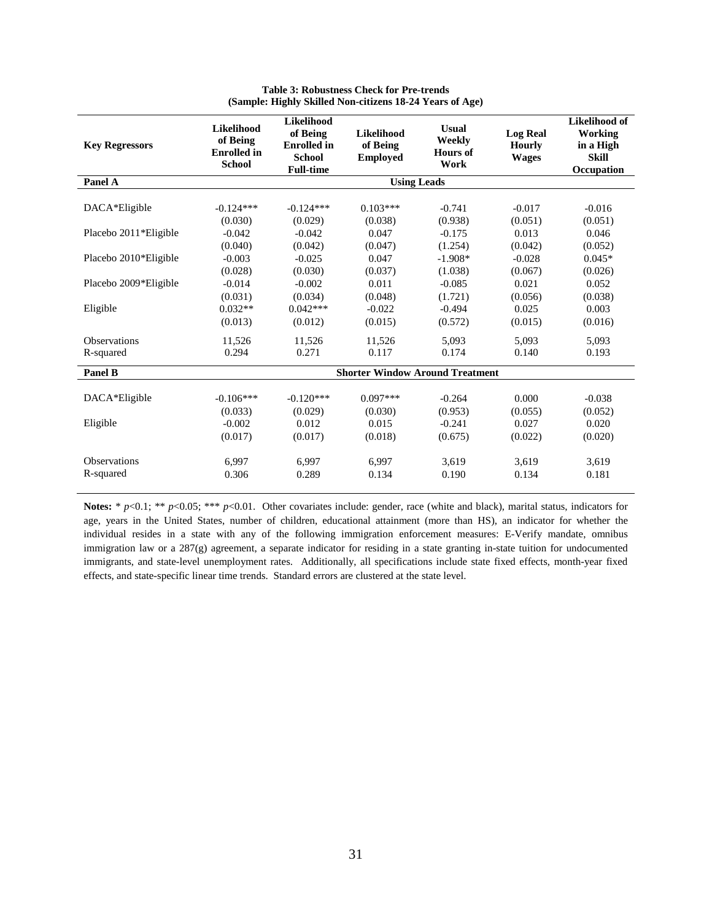| <b>Key Regressors</b>            | <b>Likelihood</b><br>of Being<br><b>Enrolled</b> in<br><b>School</b> | Likelihood<br>of Being<br><b>Enrolled</b> in<br><b>School</b><br><b>Full-time</b> | <b>Likelihood</b><br>of Being<br><b>Employed</b> | <b>Usual</b><br>Weekly<br><b>Hours of</b><br>Work | <b>Log Real</b><br><b>Hourly</b><br><b>Wages</b> | Likelihood of<br>Working<br>in a High<br><b>Skill</b><br>Occupation |  |
|----------------------------------|----------------------------------------------------------------------|-----------------------------------------------------------------------------------|--------------------------------------------------|---------------------------------------------------|--------------------------------------------------|---------------------------------------------------------------------|--|
| Panel A                          |                                                                      |                                                                                   | <b>Using Leads</b>                               |                                                   |                                                  |                                                                     |  |
| DACA*Eligible                    | $-0.124***$                                                          | $-0.124***$                                                                       | $0.103***$                                       | $-0.741$                                          | $-0.017$                                         | $-0.016$                                                            |  |
| Placebo 2011*Eligible            | (0.030)<br>$-0.042$                                                  | (0.029)<br>$-0.042$                                                               | (0.038)<br>0.047                                 | (0.938)<br>$-0.175$                               | (0.051)<br>0.013                                 | (0.051)<br>0.046                                                    |  |
| Placebo 2010*Eligible            | (0.040)<br>$-0.003$                                                  | (0.042)<br>$-0.025$                                                               | (0.047)<br>0.047                                 | (1.254)<br>$-1.908*$                              | (0.042)<br>$-0.028$                              | (0.052)<br>$0.045*$                                                 |  |
| Placebo 2009*Eligible            | (0.028)<br>$-0.014$                                                  | (0.030)<br>$-0.002$                                                               | (0.037)<br>0.011                                 | (1.038)<br>$-0.085$                               | (0.067)<br>0.021                                 | (0.026)<br>0.052                                                    |  |
| Eligible                         | (0.031)<br>$0.032**$                                                 | (0.034)<br>$0.042***$                                                             | (0.048)<br>$-0.022$                              | (1.721)                                           | (0.056)                                          | (0.038)                                                             |  |
|                                  | (0.013)                                                              | (0.012)                                                                           | (0.015)                                          | $-0.494$<br>(0.572)                               | 0.025<br>(0.015)                                 | 0.003<br>(0.016)                                                    |  |
| <b>Observations</b><br>R-squared | 11,526<br>0.294                                                      | 11,526<br>0.271                                                                   | 11.526<br>0.117                                  | 5.093<br>0.174                                    | 5.093<br>0.140                                   | 5.093<br>0.193                                                      |  |
| Panel B                          |                                                                      | <b>Shorter Window Around Treatment</b>                                            |                                                  |                                                   |                                                  |                                                                     |  |
| DACA*Eligible                    | $-0.106***$                                                          | $-0.120***$                                                                       | $0.097***$                                       | $-0.264$                                          | 0.000                                            | $-0.038$                                                            |  |
| Eligible                         | (0.033)<br>$-0.002$<br>(0.017)                                       | (0.029)<br>0.012<br>(0.017)                                                       | (0.030)<br>0.015<br>(0.018)                      | (0.953)<br>$-0.241$<br>(0.675)                    | (0.055)<br>0.027<br>(0.022)                      | (0.052)<br>0.020<br>(0.020)                                         |  |
| <b>Observations</b>              | 6.997                                                                | 6,997                                                                             | 6.997                                            | 3.619                                             | 3.619                                            | 3.619                                                               |  |
| R-squared                        | 0.306                                                                | 0.289                                                                             | 0.134                                            | 0.190                                             | 0.134                                            | 0.181                                                               |  |

**Table 3: Robustness Check for Pre-trends (Sample: Highly Skilled Non-citizens 18-24 Years of Age)**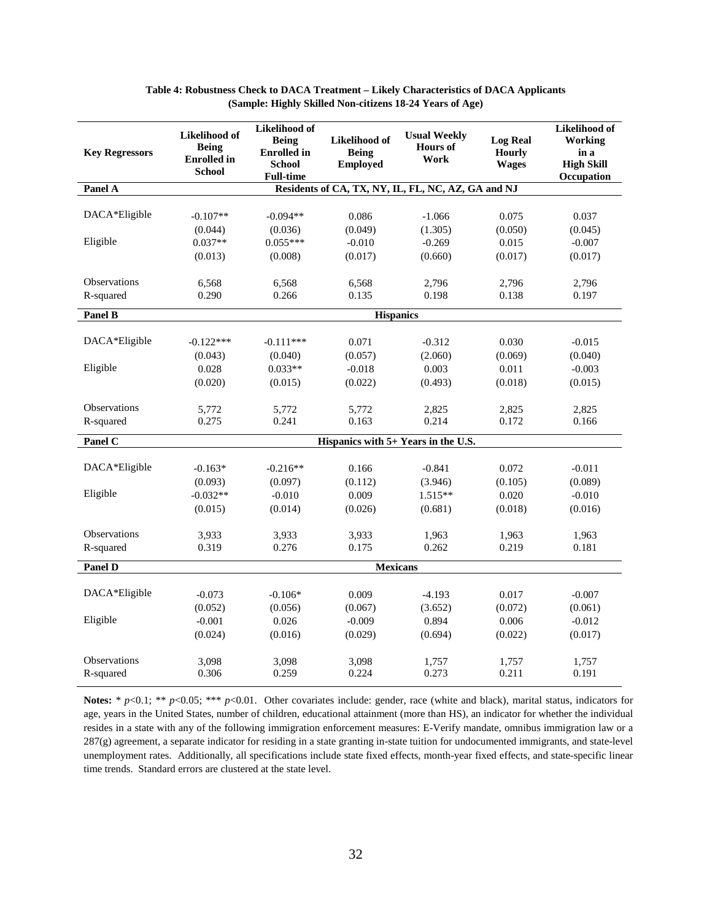| <b>Key Regressors</b> | Likelihood of<br><b>Being</b><br><b>Enrolled</b> in<br><b>School</b> | Likelihood of<br><b>Being</b><br><b>Enrolled</b> in<br><b>School</b><br><b>Full-time</b> | Likelihood of<br><b>Being</b><br><b>Employed</b> | <b>Usual Weekly</b><br><b>Hours</b> of<br>Work     | <b>Log Real</b><br><b>Hourly</b><br><b>Wages</b> | Likelihood of<br>Working<br>in a<br><b>High Skill</b><br>Occupation |
|-----------------------|----------------------------------------------------------------------|------------------------------------------------------------------------------------------|--------------------------------------------------|----------------------------------------------------|--------------------------------------------------|---------------------------------------------------------------------|
| Panel A               |                                                                      |                                                                                          |                                                  | Residents of CA, TX, NY, IL, FL, NC, AZ, GA and NJ |                                                  |                                                                     |
|                       |                                                                      |                                                                                          |                                                  |                                                    |                                                  |                                                                     |
| DACA*Eligible         | $-0.107**$                                                           | $-0.094**$                                                                               | 0.086                                            | $-1.066$                                           | 0.075                                            | 0.037                                                               |
|                       | (0.044)                                                              | (0.036)                                                                                  | (0.049)                                          | (1.305)                                            | (0.050)                                          | (0.045)                                                             |
| Eligible              | $0.037**$                                                            | $0.055***$                                                                               | $-0.010$                                         | $-0.269$                                           | 0.015                                            | $-0.007$                                                            |
|                       | (0.013)                                                              | (0.008)                                                                                  | (0.017)                                          | (0.660)                                            | (0.017)                                          | (0.017)                                                             |
| Observations          | 6,568                                                                | 6,568                                                                                    | 6,568                                            | 2,796                                              | 2,796                                            | 2,796                                                               |
| R-squared             | 0.290                                                                | 0.266                                                                                    | 0.135                                            | 0.198                                              | 0.138                                            | 0.197                                                               |
| Panel B               |                                                                      |                                                                                          | <b>Hispanics</b>                                 |                                                    |                                                  |                                                                     |
|                       |                                                                      |                                                                                          |                                                  |                                                    |                                                  |                                                                     |
| DACA*Eligible         | $-0.122***$                                                          | $-0.111***$                                                                              | 0.071                                            | $-0.312$                                           | 0.030                                            | $-0.015$                                                            |
|                       | (0.043)                                                              | (0.040)                                                                                  | (0.057)                                          | (2.060)                                            | (0.069)                                          | (0.040)                                                             |
| Eligible              | 0.028                                                                | $0.033**$                                                                                | $-0.018$                                         | 0.003                                              | 0.011                                            | $-0.003$                                                            |
|                       | (0.020)                                                              | (0.015)                                                                                  | (0.022)                                          | (0.493)                                            | (0.018)                                          | (0.015)                                                             |
| Observations          | 5,772                                                                | 5,772                                                                                    | 5,772                                            | 2,825                                              | 2,825                                            | 2,825                                                               |
| R-squared             | 0.275                                                                | 0.241                                                                                    | 0.163                                            | 0.214                                              | 0.172                                            | 0.166                                                               |
| Panel C               |                                                                      |                                                                                          |                                                  | Hispanics with 5+ Years in the U.S.                |                                                  |                                                                     |
|                       |                                                                      |                                                                                          |                                                  |                                                    |                                                  |                                                                     |
| DACA*Eligible         | $-0.163*$                                                            | $-0.216**$                                                                               | 0.166                                            | $-0.841$                                           | 0.072                                            | $-0.011$                                                            |
|                       | (0.093)                                                              | (0.097)                                                                                  | (0.112)                                          | (3.946)                                            | (0.105)                                          | (0.089)                                                             |
| Eligible              | $-0.032**$                                                           | $-0.010$                                                                                 | 0.009                                            | $1.515**$                                          | 0.020                                            | $-0.010$                                                            |
|                       | (0.015)                                                              | (0.014)                                                                                  | (0.026)                                          | (0.681)                                            | (0.018)                                          | (0.016)                                                             |
| Observations          | 3,933                                                                | 3,933                                                                                    | 3.933                                            | 1,963                                              | 1,963                                            | 1,963                                                               |
| R-squared             | 0.319                                                                | 0.276                                                                                    | 0.175                                            | 0.262                                              | 0.219                                            | 0.181                                                               |
| Panel D               |                                                                      |                                                                                          | <b>Mexicans</b>                                  |                                                    |                                                  |                                                                     |
|                       |                                                                      |                                                                                          |                                                  |                                                    |                                                  |                                                                     |
| DACA*Eligible         | $-0.073$                                                             | $-0.106*$                                                                                | 0.009                                            | $-4.193$                                           | 0.017                                            | $-0.007$                                                            |
|                       | (0.052)                                                              | (0.056)                                                                                  | (0.067)                                          | (3.652)                                            | (0.072)                                          | (0.061)                                                             |
| Eligible              | $-0.001$                                                             | 0.026                                                                                    | $-0.009$                                         | 0.894                                              | 0.006                                            | $-0.012$                                                            |
|                       | (0.024)                                                              | (0.016)                                                                                  | (0.029)                                          | (0.694)                                            | (0.022)                                          | (0.017)                                                             |
| Observations          | 3,098                                                                | 3,098                                                                                    | 3,098                                            | 1,757                                              | 1,757                                            | 1,757                                                               |
| R-squared             | 0.306                                                                | 0.259                                                                                    | 0.224                                            | 0.273                                              | 0.211                                            | 0.191                                                               |

#### **Table 4: Robustness Check to DACA Treatment – Likely Characteristics of DACA Applicants (Sample: Highly Skilled Non-citizens 18-24 Years of Age)**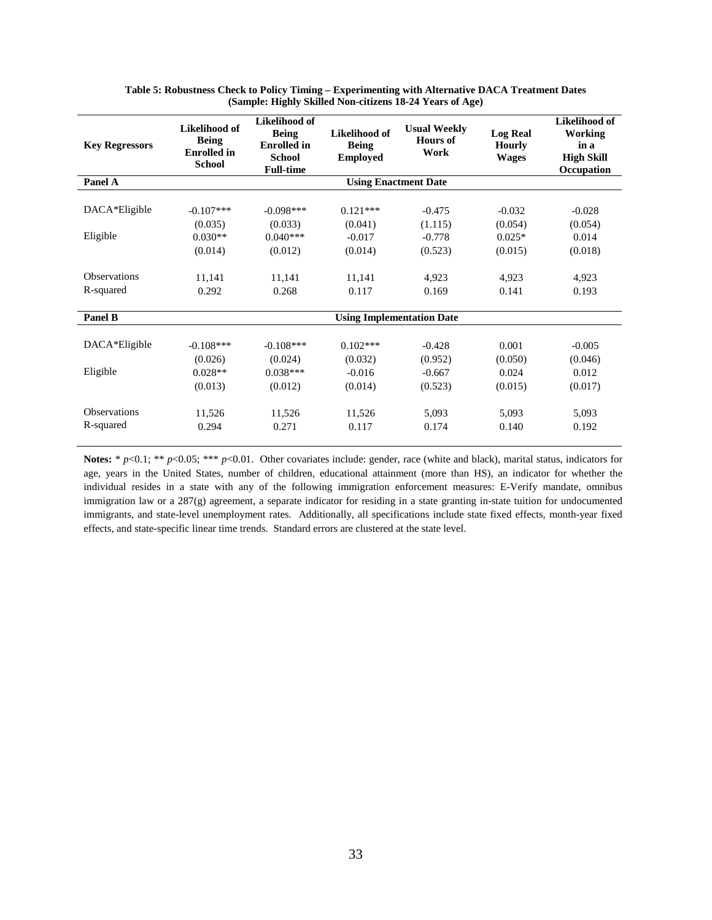| <b>Key Regressors</b>            | Likelihood of<br><b>Being</b><br><b>Enrolled</b> in<br><b>School</b> | Likelihood of<br><b>Being</b><br><b>Enrolled</b> in<br><b>School</b><br><b>Full-time</b> | Likelihood of<br><b>Being</b><br><b>Employed</b> | <b>Usual Weekly</b><br>Hours of<br>Work | <b>Log Real</b><br><b>Hourly</b><br><b>Wages</b> | <b>Likelihood of</b><br>Working<br>in a<br><b>High Skill</b><br>Occupation |
|----------------------------------|----------------------------------------------------------------------|------------------------------------------------------------------------------------------|--------------------------------------------------|-----------------------------------------|--------------------------------------------------|----------------------------------------------------------------------------|
| Panel A                          |                                                                      |                                                                                          | <b>Using Enactment Date</b>                      |                                         |                                                  |                                                                            |
| DACA*Eligible                    | $-0.107***$<br>(0.035)                                               | $-0.098***$<br>(0.033)                                                                   | $0.121***$<br>(0.041)                            | $-0.475$<br>(1.115)                     | $-0.032$<br>(0.054)                              | $-0.028$<br>(0.054)                                                        |
| Eligible                         | $0.030**$<br>(0.014)                                                 | $0.040***$<br>(0.012)                                                                    | $-0.017$<br>(0.014)                              | $-0.778$<br>(0.523)                     | $0.025*$<br>(0.015)                              | 0.014<br>(0.018)                                                           |
| <b>Observations</b><br>R-squared | 11,141<br>0.292                                                      | 11,141<br>0.268                                                                          | 11,141<br>0.117                                  | 4.923<br>0.169                          | 4,923<br>0.141                                   | 4,923<br>0.193                                                             |
| Panel B                          |                                                                      |                                                                                          | <b>Using Implementation Date</b>                 |                                         |                                                  |                                                                            |
| DACA*Eligible<br>Eligible        | $-0.108***$<br>(0.026)<br>$0.028**$                                  | $-0.108***$<br>(0.024)<br>$0.038***$                                                     | $0.102***$<br>(0.032)<br>$-0.016$                | $-0.428$<br>(0.952)<br>$-0.667$         | 0.001<br>(0.050)<br>0.024                        | $-0.005$<br>(0.046)<br>0.012                                               |
|                                  | (0.013)                                                              | (0.012)                                                                                  | (0.014)                                          | (0.523)                                 | (0.015)                                          | (0.017)                                                                    |
| <b>Observations</b><br>R-squared | 11,526<br>0.294                                                      | 11,526<br>0.271                                                                          | 11,526<br>0.117                                  | 5.093<br>0.174                          | 5.093<br>0.140                                   | 5.093<br>0.192                                                             |

| Table 5: Robustness Check to Policy Timing – Experimenting with Alternative DACA Treatment Dates |  |
|--------------------------------------------------------------------------------------------------|--|
| (Sample: Highly Skilled Non-citizens 18-24 Years of Age)                                         |  |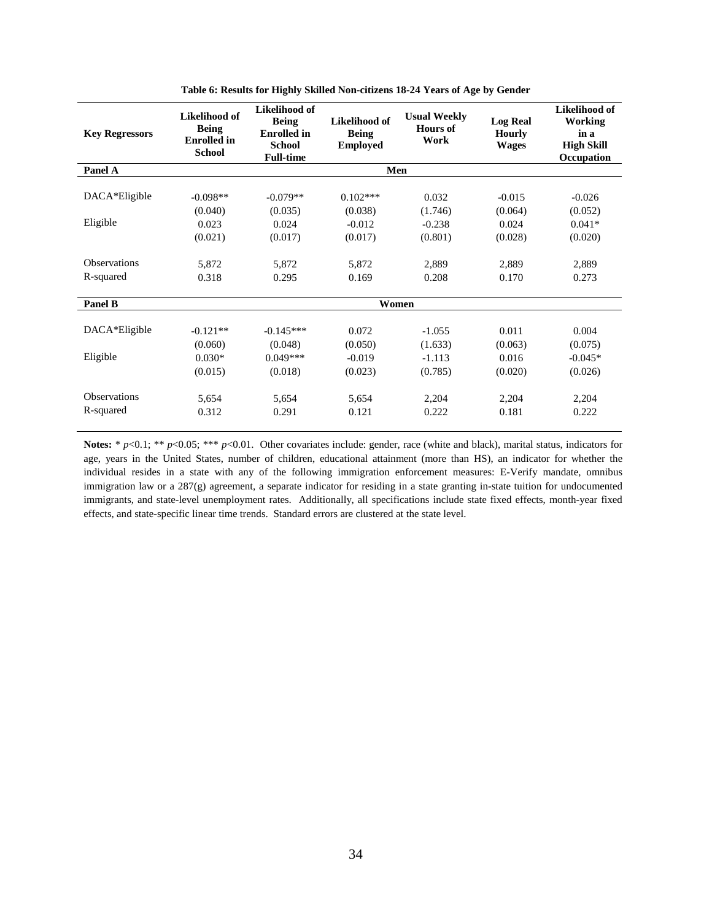| <b>Key Regressors</b>            | Likelihood of<br><b>Being</b><br><b>Enrolled</b> in<br><b>School</b> | Likelihood of<br><b>Being</b><br><b>Enrolled</b> in<br><b>School</b><br><b>Full-time</b> | Likelihood of<br><b>Being</b><br><b>Employed</b> | <b>Usual Weekly</b><br>Hours of<br>Work | <b>Log Real</b><br><b>Hourly</b><br><b>Wages</b> | Likelihood of<br><b>Working</b><br>in a<br><b>High Skill</b><br>Occupation |
|----------------------------------|----------------------------------------------------------------------|------------------------------------------------------------------------------------------|--------------------------------------------------|-----------------------------------------|--------------------------------------------------|----------------------------------------------------------------------------|
| Panel A                          |                                                                      |                                                                                          | Men                                              |                                         |                                                  |                                                                            |
| DACA*Eligible                    | $-0.098**$                                                           | $-0.079**$                                                                               | $0.102***$                                       | 0.032                                   | $-0.015$                                         | $-0.026$                                                                   |
| Eligible                         | (0.040)<br>0.023                                                     | (0.035)<br>0.024                                                                         | (0.038)<br>$-0.012$                              | (1.746)<br>$-0.238$                     | (0.064)<br>0.024                                 | (0.052)<br>$0.041*$                                                        |
| <b>Observations</b><br>R-squared | (0.021)<br>5,872<br>0.318                                            | (0.017)<br>5,872<br>0.295                                                                | (0.017)<br>5,872<br>0.169                        | (0.801)<br>2,889<br>0.208               | (0.028)<br>2,889<br>0.170                        | (0.020)<br>2,889<br>0.273                                                  |
| Panel B                          |                                                                      |                                                                                          | Women                                            |                                         |                                                  |                                                                            |
| DACA*Eligible                    | $-0.121**$<br>(0.060)                                                | $-0.145***$<br>(0.048)                                                                   | 0.072<br>(0.050)                                 | $-1.055$<br>(1.633)                     | 0.011<br>(0.063)                                 | 0.004<br>(0.075)                                                           |
| Eligible                         | $0.030*$<br>(0.015)                                                  | $0.049***$<br>(0.018)                                                                    | $-0.019$<br>(0.023)                              | $-1.113$<br>(0.785)                     | 0.016<br>(0.020)                                 | $-0.045*$<br>(0.026)                                                       |
| <b>Observations</b><br>R-squared | 5,654<br>0.312                                                       | 5,654<br>0.291                                                                           | 5,654<br>0.121                                   | 2,204<br>0.222                          | 2,204<br>0.181                                   | 2,204<br>0.222                                                             |

**Table 6: Results for Highly Skilled Non-citizens 18-24 Years of Age by Gender**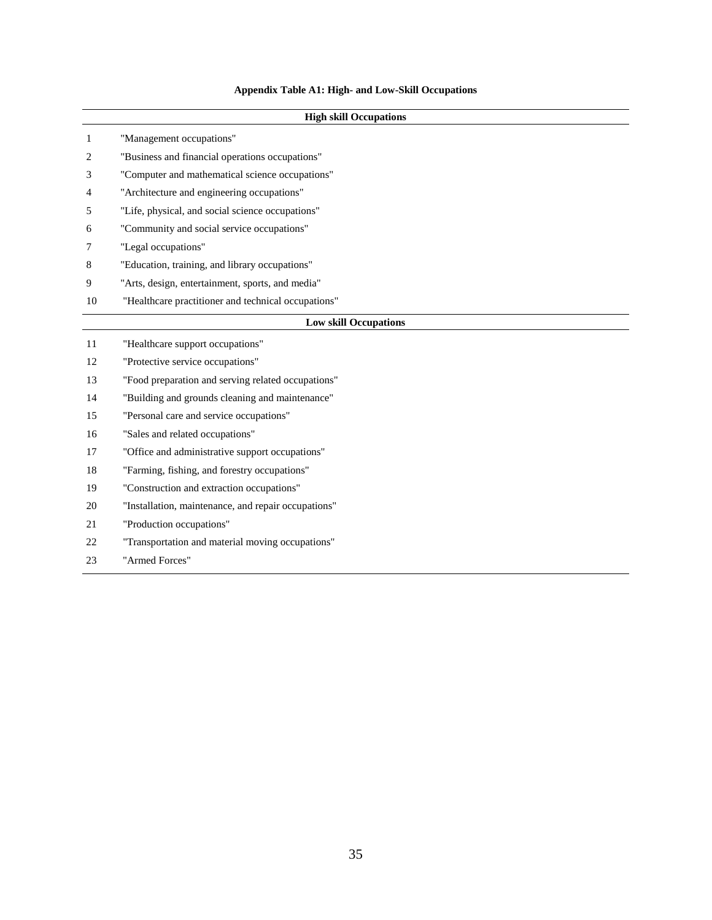# **Appendix Table A1: High- and Low-Skill Occupations**

|    | <b>High skill Occupations</b>                       |  |  |  |  |  |  |
|----|-----------------------------------------------------|--|--|--|--|--|--|
| 1  | "Management occupations"                            |  |  |  |  |  |  |
| 2  | "Business and financial operations occupations"     |  |  |  |  |  |  |
| 3  | "Computer and mathematical science occupations"     |  |  |  |  |  |  |
| 4  | "Architecture and engineering occupations"          |  |  |  |  |  |  |
| 5  | "Life, physical, and social science occupations"    |  |  |  |  |  |  |
| 6  | "Community and social service occupations"          |  |  |  |  |  |  |
| 7  | "Legal occupations"                                 |  |  |  |  |  |  |
| 8  | "Education, training, and library occupations"      |  |  |  |  |  |  |
| 9  | "Arts, design, entertainment, sports, and media"    |  |  |  |  |  |  |
| 10 | "Healthcare practitioner and technical occupations" |  |  |  |  |  |  |
|    | <b>Low skill Occupations</b>                        |  |  |  |  |  |  |
| 11 | "Healthcare support occupations"                    |  |  |  |  |  |  |
| 12 | "Protective service occupations"                    |  |  |  |  |  |  |
| 13 | "Food preparation and serving related occupations"  |  |  |  |  |  |  |
| 14 | "Building and grounds cleaning and maintenance"     |  |  |  |  |  |  |
| 15 | "Personal care and service occupations"             |  |  |  |  |  |  |
| 16 | "Sales and related occupations"                     |  |  |  |  |  |  |
| 17 | "Office and administrative support occupations"     |  |  |  |  |  |  |
| 18 | "Farming, fishing, and forestry occupations"        |  |  |  |  |  |  |
| 19 | "Construction and extraction occupations"           |  |  |  |  |  |  |
| 20 | "Installation, maintenance, and repair occupations" |  |  |  |  |  |  |
| 21 | "Production occupations"                            |  |  |  |  |  |  |
| 22 | "Transportation and material moving occupations"    |  |  |  |  |  |  |
| 23 | "Armed Forces"                                      |  |  |  |  |  |  |